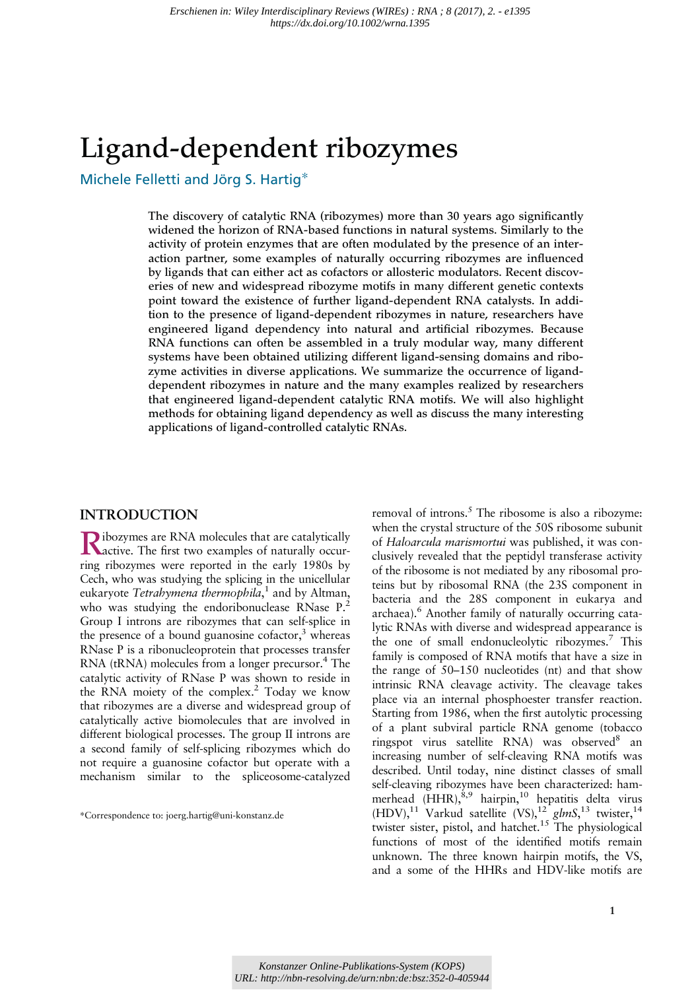# Ligand-dependent ribozymes

Michele Felletti and Jörg S. Hartig\*

The discovery of catalytic RNA (ribozymes) more than 30 years ago significantly widened the horizon of RNA-based functions in natural systems. Similarly to the activity of protein enzymes that are often modulated by the presence of an interaction partner, some examples of naturally occurring ribozymes are influenced by ligands that can either act as cofactors or allosteric modulators. Recent discoveries of new and widespread ribozyme motifs in many different genetic contexts point toward the existence of further ligand-dependent RNA catalysts. In addition to the presence of ligand-dependent ribozymes in nature, researchers have engineered ligand dependency into natural and artificial ribozymes. Because RNA functions can often be assembled in a truly modular way, many different systems have been obtained utilizing different ligand-sensing domains and ribozyme activities in diverse applications. We summarize the occurrence of liganddependent ribozymes in nature and the many examples realized by researchers that engineered ligand-dependent catalytic RNA motifs. We will also highlight methods for obtaining ligand dependency as well as discuss the many interesting applications of ligand-controlled catalytic RNAs.

## **INTRODUCTION**

Ribozymes are RNA molecules that are catalytically<br>active. The first two examples of naturally occurring ribozymes were reported in the early 1980s by Cech, who was studying the splicing in the unicellular eukaryote *Tetrahymena thermophila*, <sup>1</sup> and by Altman, who was studying the endoribonuclease RNase P.<sup>2</sup> Group I introns are ribozymes that can self-splice in the presence of a bound guanosine cofactor, $3$  whereas RNase P is a ribonucleoprotein that processes transfer RNA ( $t$ RNA) molecules from a longer precursor.<sup>4</sup> The catalytic activity of RNase P was shown to reside in the RNA moiety of the complex.<sup>2</sup> Today we know that ribozymes are a diverse and widespread group of catalytically active biomolecules that are involved in different biological processes. The group II introns are a second family of self-splicing ribozymes which do not require a guanosine cofactor but operate with a mechanism similar to the spliceosome-catalyzed

\*Correspondence to: joerg.hartig@uni-konstanz.de

removal of introns. $5$  The ribosome is also a ribozyme: when the crystal structure of the 50S ribosome subunit of *Haloarcula marismortui* was published, it was conclusively revealed that the peptidyl transferase activity of the ribosome is not mediated by any ribosomal proteins but by ribosomal RNA (the 23S component in bacteria and the 28S component in eukarya and archaea).<sup>6</sup> Another family of naturally occurring catalytic RNAs with diverse and widespread appearance is the one of small endonucleolytic ribozymes.<sup>7</sup> This family is composed of RNA motifs that have a size in the range of 50–150 nucleotides (nt) and that show intrinsic RNA cleavage activity. The cleavage takes place via an internal phosphoester transfer reaction. Starting from 1986, when the first autolytic processing of a plant subviral particle RNA genome (tobacco ringspot virus satellite  $RNA$ ) was observed<sup>8</sup> an increasing number of self-cleaving RNA motifs was described. Until today, nine distinct classes of small self-cleaving ribozymes have been characterized: hammerhead (HHR),<sup>8,9</sup> hairpin,<sup>10</sup> hepatitis delta virus  $(HDV)$ ,<sup>11</sup> Varkud satellite  $(VS)$ ,<sup>12</sup> *glmS*,<sup>13</sup> twister,<sup>14</sup> twister sister, pistol, and hatchet.<sup>15</sup> The physiological functions of most of the identified motifs remain unknown. The three known hairpin motifs, the VS, and a some of the HHRs and HDV-like motifs are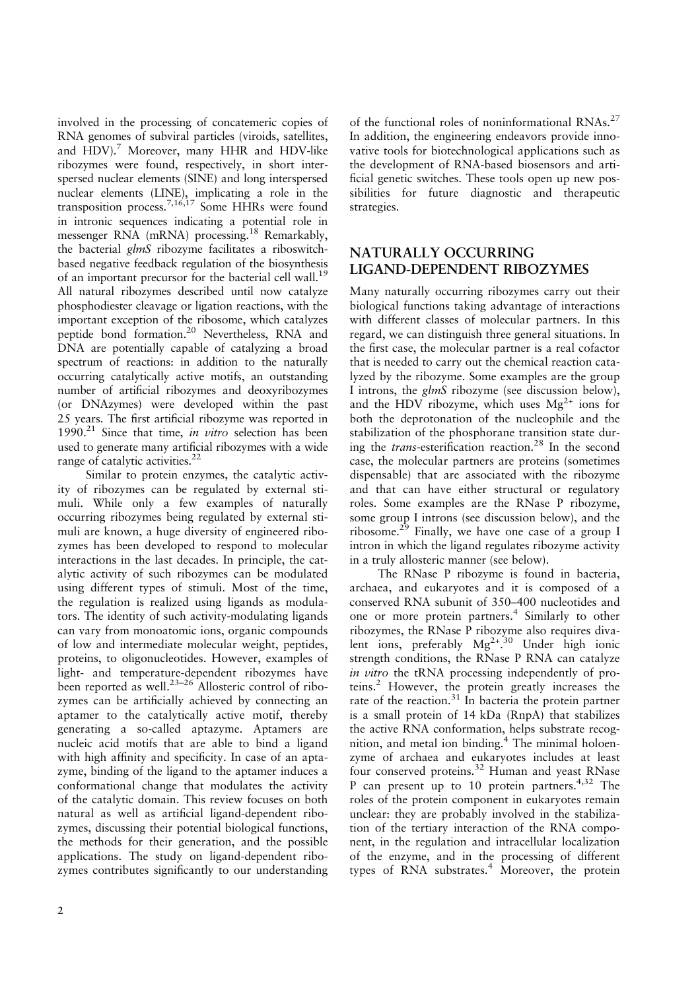involved in the processing of concatemeric copies of RNA genomes of subviral particles (viroids, satellites, and HDV).<sup>7</sup> Moreover, many HHR and HDV-like ribozymes were found, respectively, in short interspersed nuclear elements (SINE) and long interspersed nuclear elements (LINE), implicating a role in the transposition process.<sup>7,16,17</sup> Some HHRs were found in intronic sequences indicating a potential role in messenger RNA (mRNA) processing.<sup>18</sup> Remarkably, the bacterial *glmS* ribozyme facilitates a riboswitchbased negative feedback regulation of the biosynthesis of an important precursor for the bacterial cell wall.<sup>19</sup> All natural ribozymes described until now catalyze phosphodiester cleavage or ligation reactions, with the important exception of the ribosome, which catalyzes peptide bond formation.20 Nevertheless, RNA and DNA are potentially capable of catalyzing a broad spectrum of reactions: in addition to the naturally occurring catalytically active motifs, an outstanding number of artificial ribozymes and deoxyribozymes (or DNAzymes) were developed within the past 25 years. The first artificial ribozyme was reported in 1990.21 Since that time, *in vitro* selection has been used to generate many artificial ribozymes with a wide range of catalytic activities.22

Similar to protein enzymes, the catalytic activity of ribozymes can be regulated by external stimuli. While only a few examples of naturally occurring ribozymes being regulated by external stimuli are known, a huge diversity of engineered ribozymes has been developed to respond to molecular interactions in the last decades. In principle, the catalytic activity of such ribozymes can be modulated using different types of stimuli. Most of the time, the regulation is realized using ligands as modulators. The identity of such activity-modulating ligands can vary from monoatomic ions, organic compounds of low and intermediate molecular weight, peptides, proteins, to oligonucleotides. However, examples of light- and temperature-dependent ribozymes have been reported as well.<sup>23-26</sup> Allosteric control of ribozymes can be artificially achieved by connecting an aptamer to the catalytically active motif, thereby generating a so-called aptazyme. Aptamers are nucleic acid motifs that are able to bind a ligand with high affinity and specificity. In case of an aptazyme, binding of the ligand to the aptamer induces a conformational change that modulates the activity of the catalytic domain. This review focuses on both natural as well as artificial ligand-dependent ribozymes, discussing their potential biological functions, the methods for their generation, and the possible applications. The study on ligand-dependent ribozymes contributes significantly to our understanding of the functional roles of noninformational RNAs.<sup>27</sup> In addition, the engineering endeavors provide innovative tools for biotechnological applications such as the development of RNA-based biosensors and artificial genetic switches. These tools open up new possibilities for future diagnostic and therapeutic strategies.

# **NATURALLY OCCURRING LIGAND-DEPENDENT RIBOZYMES**

Many naturally occurring ribozymes carry out their biological functions taking advantage of interactions with different classes of molecular partners. In this regard, we can distinguish three general situations. In the first case, the molecular partner is a real cofactor that is needed to carry out the chemical reaction catalyzed by the ribozyme. Some examples are the group I introns, the *glmS* ribozyme (see discussion below), and the HDV ribozyme, which uses  $Mg^{2+}$  ions for both the deprotonation of the nucleophile and the stabilization of the phosphorane transition state during the *trans*-esterification reaction.<sup>28</sup> In the second case, the molecular partners are proteins (sometimes dispensable) that are associated with the ribozyme and that can have either structural or regulatory roles. Some examples are the RNase P ribozyme, some group I introns (see discussion below), and the ribosome.<sup>29</sup> Finally, we have one case of a group I intron in which the ligand regulates ribozyme activity in a truly allosteric manner (see below).

The RNase P ribozyme is found in bacteria, archaea, and eukaryotes and it is composed of a conserved RNA subunit of 350–400 nucleotides and one or more protein partners.<sup>4</sup> Similarly to other ribozymes, the RNase P ribozyme also requires divalent ions, preferably  $Mg^{2+,30}$  Under high ionic strength conditions, the RNase P RNA can catalyze *in vitro* the tRNA processing independently of proteins.<sup>2</sup> However, the protein greatly increases the rate of the reaction.<sup>31</sup> In bacteria the protein partner is a small protein of 14 kDa (RnpA) that stabilizes the active RNA conformation, helps substrate recognition, and metal ion binding.<sup>4</sup> The minimal holoenzyme of archaea and eukaryotes includes at least four conserved proteins.<sup>32</sup> Human and yeast RNase P can present up to 10 protein partners.<sup>4,32</sup> The roles of the protein component in eukaryotes remain unclear: they are probably involved in the stabilization of the tertiary interaction of the RNA component, in the regulation and intracellular localization of the enzyme, and in the processing of different types of RNA substrates.<sup>4</sup> Moreover, the protein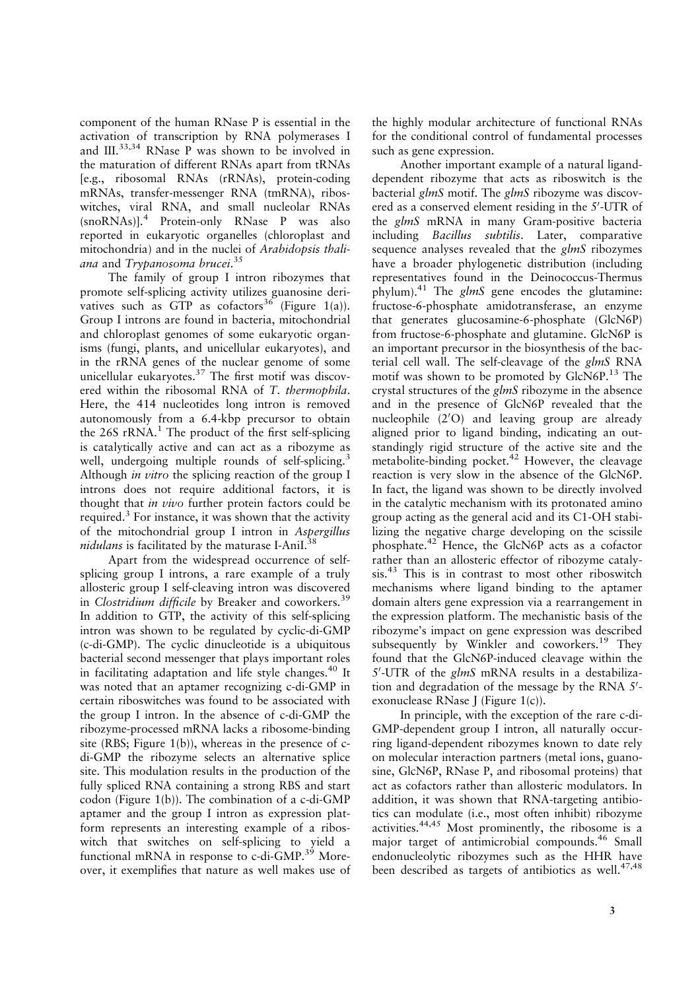component of the human RNase P is essential in the activation of transcription by RNA polymerases I and III.<sup>33,34</sup> RNase P was shown to be involved in the maturation of different RNAs apart from tRNAs [e.g., ribosomal RNAs (rRNAs), protein-coding mRNAs, transfer-messenger RNA (tmRNA), riboswitches, viral RNA, and small nucleolar RNAs (snoRNAs)].<sup>4</sup> Protein-only RNase P was also reported in eukaryotic organelles (chloroplast and mitochondria) and in the nuclei of *Arabidopsis thaliana* and *Trypanosoma brucei*. 35

The family of group I intron ribozymes that promote self-splicing activity utilizes guanosine derivatives such as GTP as cofactors<sup>36</sup> (Figure 1(a)). Group I introns are found in bacteria, mitochondrial and chloroplast genomes of some eukaryotic organisms (fungi, plants, and unicellular eukaryotes), and in the rRNA genes of the nuclear genome of some unicellular eukaryotes. $37$  The first motif was discovered within the ribosomal RNA of *T*. *thermophila*. Here, the 414 nucleotides long intron is removed autonomously from a 6.4-kbp precursor to obtain the  $26S$  rRNA.<sup>1</sup> The product of the first self-splicing is catalytically active and can act as a ribozyme as well, undergoing multiple rounds of self-splicing.<sup>3</sup> Although *in vitro* the splicing reaction of the group I introns does not require additional factors, it is thought that *in vivo* further protein factors could be required. $3$  For instance, it was shown that the activity of the mitochondrial group I intron in *Aspergillus nidulans* is facilitated by the maturase I-AniI.<sup>38</sup>

Apart from the widespread occurrence of selfsplicing group I introns, a rare example of a truly allosteric group I self-cleaving intron was discovered in *Clostridium difficile* by Breaker and coworkers.<sup>39</sup> In addition to GTP, the activity of this self-splicing intron was shown to be regulated by cyclic-di-GMP (c-di-GMP). The cyclic dinucleotide is a ubiquitous bacterial second messenger that plays important roles in facilitating adaptation and life style changes.<sup>40</sup> It was noted that an aptamer recognizing c-di-GMP in certain riboswitches was found to be associated with the group I intron. In the absence of c-di-GMP the ribozyme-processed mRNA lacks a ribosome-binding site (RBS; Figure 1(b)), whereas in the presence of cdi-GMP the ribozyme selects an alternative splice site. This modulation results in the production of the fully spliced RNA containing a strong RBS and start codon (Figure 1(b)). The combination of a c-di-GMP aptamer and the group I intron as expression platform represents an interesting example of a riboswitch that switches on self-splicing to yield a functional mRNA in response to c-di-GMP.39 Moreover, it exemplifies that nature as well makes use of the highly modular architecture of functional RNAs for the conditional control of fundamental processes such as gene expression.

Another important example of a natural liganddependent ribozyme that acts as riboswitch is the bacterial *glmS* motif. The *glmS* ribozyme was discovered as a conserved element residing in the 5'-UTR of the *glmS* mRNA in many Gram-positive bacteria including *Bacillus subtilis*. Later, comparative sequence analyses revealed that the *glmS* ribozymes have a broader phylogenetic distribution (including representatives found in the Deinococcus-Thermus phylum).<sup>41</sup> The *glmS* gene encodes the glutamine: fructose-6-phosphate amidotransferase, an enzyme that generates glucosamine-6-phosphate (GlcN6P) from fructose-6-phosphate and glutamine. GlcN6P is an important precursor in the biosynthesis of the bacterial cell wall. The self-cleavage of the *glmS* RNA motif was shown to be promoted by GlcN6P.<sup>13</sup> The crystal structures of the *glmS* ribozyme in the absence and in the presence of GlcN6P revealed that the nucleophile (2'O) and leaving group are already aligned prior to ligand binding, indicating an outstandingly rigid structure of the active site and the metabolite-binding pocket.<sup>42</sup> However, the cleavage reaction is very slow in the absence of the GlcN6P. In fact, the ligand was shown to be directly involved in the catalytic mechanism with its protonated amino group acting as the general acid and its C1-OH stabilizing the negative charge developing on the scissile phosphate.<sup>42</sup> Hence, the GlcN6P acts as a cofactor rather than an allosteric effector of ribozyme catalysis.43 This is in contrast to most other riboswitch mechanisms where ligand binding to the aptamer domain alters gene expression via a rearrangement in the expression platform. The mechanistic basis of the ribozyme's impact on gene expression was described subsequently by Winkler and coworkers.<sup>19</sup> They found that the GlcN6P-induced cleavage within the 5'-UTR of the *glmS* mRNA results in a destabilization and degradation of the message by the RNA 5'exonuclease RNase J (Figure 1(c)).

In principle, with the exception of the rare c-di-GMP-dependent group I intron, all naturally occurring ligand-dependent ribozymes known to date rely on molecular interaction partners (metal ions, guanosine, GlcN6P, RNase P, and ribosomal proteins) that act as cofactors rather than allosteric modulators. In addition, it was shown that RNA-targeting antibiotics can modulate (i.e., most often inhibit) ribozyme activities.44,45 Most prominently, the ribosome is a major target of antimicrobial compounds.<sup>46</sup> Small endonucleolytic ribozymes such as the HHR have been described as targets of antibiotics as well.<sup>47,48</sup>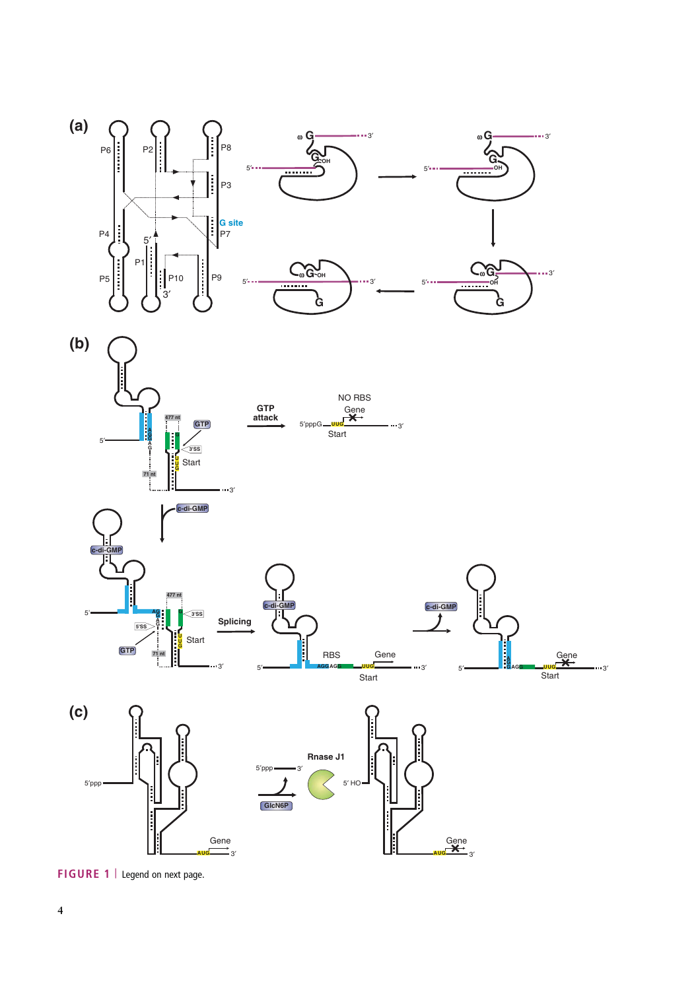



**AUG AUG**

3′ 3′

**FIGURE 1** | Legend on next page.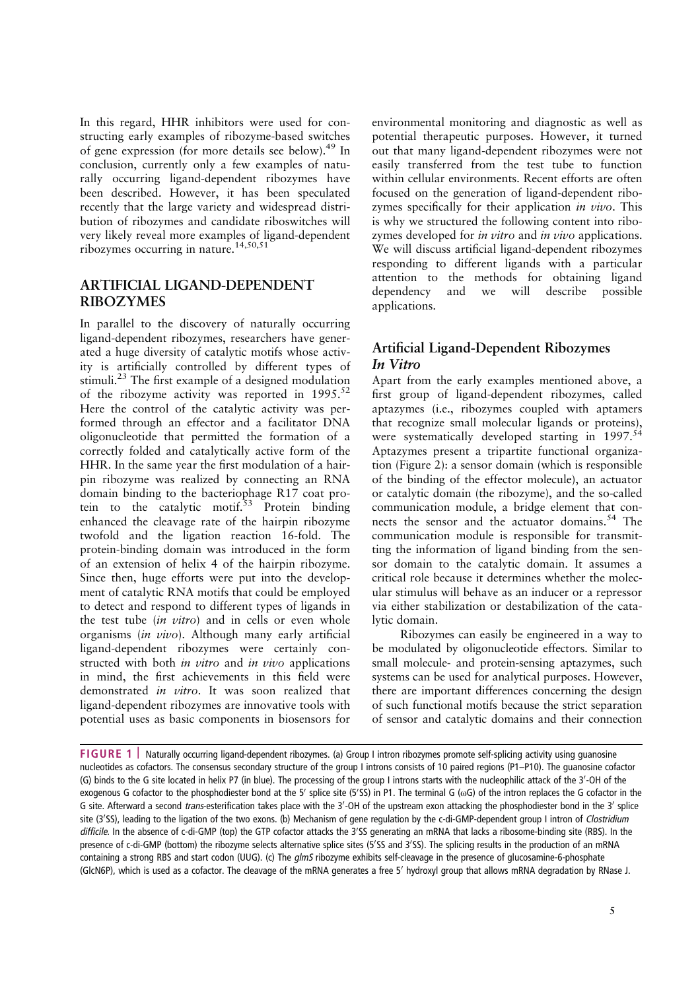In this regard, HHR inhibitors were used for constructing early examples of ribozyme-based switches of gene expression (for more details see below).<sup>49</sup> In conclusion, currently only a few examples of naturally occurring ligand-dependent ribozymes have been described. However, it has been speculated recently that the large variety and widespread distribution of ribozymes and candidate riboswitches will very likely reveal more examples of ligand-dependent ribozymes occurring in nature.14,50,51

# **ARTIFICIAL LIGAND-DEPENDENT RIBOZYMES**

In parallel to the discovery of naturally occurring ligand-dependent ribozymes, researchers have generated a huge diversity of catalytic motifs whose activity is artificially controlled by different types of stimuli.<sup>23</sup> The first example of a designed modulation of the ribozyme activity was reported in  $1995$ .<sup>52</sup> Here the control of the catalytic activity was performed through an effector and a facilitator DNA oligonucleotide that permitted the formation of a correctly folded and catalytically active form of the HHR. In the same year the first modulation of a hairpin ribozyme was realized by connecting an RNA domain binding to the bacteriophage R17 coat protein to the catalytic motif. $53$  Protein binding enhanced the cleavage rate of the hairpin ribozyme twofold and the ligation reaction 16-fold. The protein-binding domain was introduced in the form of an extension of helix 4 of the hairpin ribozyme. Since then, huge efforts were put into the development of catalytic RNA motifs that could be employed to detect and respond to different types of ligands in the test tube (*in vitro*) and in cells or even whole organisms (*in vivo*). Although many early artificial ligand-dependent ribozymes were certainly constructed with both *in vitro* and *in vivo* applications in mind, the first achievements in this field were demonstrated *in vitro*. It was soon realized that ligand-dependent ribozymes are innovative tools with potential uses as basic components in biosensors for environmental monitoring and diagnostic as well as potential therapeutic purposes. However, it turned out that many ligand-dependent ribozymes were not easily transferred from the test tube to function within cellular environments. Recent efforts are often focused on the generation of ligand-dependent ribozymes specifically for their application *in vivo*. This is why we structured the following content into ribozymes developed for *in vitro* and *in vivo* applications. We will discuss artificial ligand-dependent ribozymes responding to different ligands with a particular attention to the methods for obtaining ligand dependency and we will describe possible dependency and we will describe possible applications.

# **Artificial Ligand-Dependent Ribozymes** *In Vitro*

Apart from the early examples mentioned above, a first group of ligand-dependent ribozymes, called aptazymes (i.e., ribozymes coupled with aptamers that recognize small molecular ligands or proteins), were systematically developed starting in 1997.<sup>5</sup> Aptazymes present a tripartite functional organization (Figure 2): a sensor domain (which is responsible of the binding of the effector molecule), an actuator or catalytic domain (the ribozyme), and the so-called communication module, a bridge element that connects the sensor and the actuator domains.<sup>54</sup> The communication module is responsible for transmitting the information of ligand binding from the sensor domain to the catalytic domain. It assumes a critical role because it determines whether the molecular stimulus will behave as an inducer or a repressor via either stabilization or destabilization of the catalytic domain.

Ribozymes can easily be engineered in a way to be modulated by oligonucleotide effectors. Similar to small molecule- and protein-sensing aptazymes, such systems can be used for analytical purposes. However, there are important differences concerning the design of such functional motifs because the strict separation of sensor and catalytic domains and their connection

**FIGURE 1 |** Naturally occurring ligand-dependent ribozymes. (a) Group I intron ribozymes promote self-splicing activity using guanosine nucleotides as cofactors. The consensus secondary structure of the group I introns consists of 10 paired regions (P1–P10). The guanosine cofactor (G) binds to the G site located in helix P7 (in blue). The processing of the group I introns starts with the nucleophilic attack of the 3'-OH of the exogenous G cofactor to the phosphodiester bond at the 5' splice site (5'SS) in P1. The terminal G (ωG) of the intron replaces the G cofactor in the G site. Afterward a second trans-esterification takes place with the 3'-OH of the upstream exon attacking the phosphodiester bond in the 3' splice site (3'SS), leading to the ligation of the two exons. (b) Mechanism of gene regulation by the c-di-GMP-dependent group I intron of *Clostridium* difficile. In the absence of c-di-GMP (top) the GTP cofactor attacks the 3'SS generating an mRNA that lacks a ribosome-binding site (RBS). In the presence of c-di-GMP (bottom) the ribozyme selects alternative splice sites (5'SS and 3'SS). The splicing results in the production of an mRNA containing a strong RBS and start codon (UUG). (c) The *glmS* ribozyme exhibits self-cleavage in the presence of glucosamine-6-phosphate (GIcN6P), which is used as a cofactor. The cleavage of the mRNA generates a free 5' hydroxyl group that allows mRNA degradation by RNase J.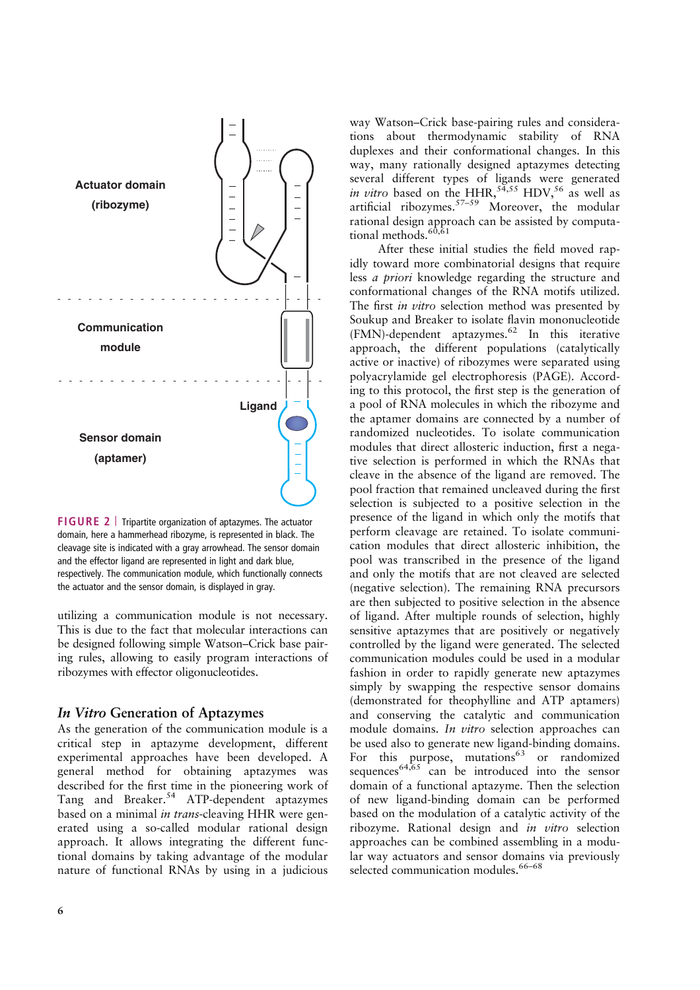

**FIGURE 2** | Tripartite organization of aptazymes. The actuator domain, here a hammerhead ribozyme, is represented in black. The cleavage site is indicated with a gray arrowhead. The sensor domain and the effector ligand are represented in light and dark blue, respectively. The communication module, which functionally connects the actuator and the sensor domain, is displayed in gray.

utilizing a communication module is not necessary. This is due to the fact that molecular interactions can be designed following simple Watson–Crick base pairing rules, allowing to easily program interactions of ribozymes with effector oligonucleotides.

# *In Vitro* **Generation of Aptazymes**

As the generation of the communication module is a critical step in aptazyme development, different experimental approaches have been developed. A general method for obtaining aptazymes was described for the first time in the pioneering work of Tang and Breaker.<sup>54</sup> ATP-dependent aptazymes based on a minimal *in trans*-cleaving HHR were generated using a so-called modular rational design approach. It allows integrating the different functional domains by taking advantage of the modular nature of functional RNAs by using in a judicious way Watson–Crick base-pairing rules and considerations about thermodynamic stability of RNA duplexes and their conformational changes. In this way, many rationally designed aptazymes detecting several different types of ligands were generated *in vitro* based on the HHR,  $54,55$  HDV,  $56$  as well as artificial ribozymes.<sup>57-59</sup> Moreover, the modular rational design approach can be assisted by computational methods.<sup>60,61</sup>

After these initial studies the field moved rapidly toward more combinatorial designs that require less *a priori* knowledge regarding the structure and conformational changes of the RNA motifs utilized. The first *in vitro* selection method was presented by Soukup and Breaker to isolate flavin mononucleotide  $(FMN)$ -dependent aptazymes.<sup>62</sup> In this iterative approach, the different populations (catalytically active or inactive) of ribozymes were separated using polyacrylamide gel electrophoresis (PAGE). According to this protocol, the first step is the generation of a pool of RNA molecules in which the ribozyme and the aptamer domains are connected by a number of randomized nucleotides. To isolate communication modules that direct allosteric induction, first a negative selection is performed in which the RNAs that cleave in the absence of the ligand are removed. The pool fraction that remained uncleaved during the first selection is subjected to a positive selection in the presence of the ligand in which only the motifs that perform cleavage are retained. To isolate communication modules that direct allosteric inhibition, the pool was transcribed in the presence of the ligand and only the motifs that are not cleaved are selected (negative selection). The remaining RNA precursors are then subjected to positive selection in the absence of ligand. After multiple rounds of selection, highly sensitive aptazymes that are positively or negatively controlled by the ligand were generated. The selected communication modules could be used in a modular fashion in order to rapidly generate new aptazymes simply by swapping the respective sensor domains (demonstrated for theophylline and ATP aptamers) and conserving the catalytic and communication module domains. *In vitro* selection approaches can be used also to generate new ligand-binding domains. For this purpose, mutations<sup>63</sup> or randomized sequences $^{64,65}$  can be introduced into the sensor domain of a functional aptazyme. Then the selection of new ligand-binding domain can be performed based on the modulation of a catalytic activity of the ribozyme. Rational design and *in vitro* selection approaches can be combined assembling in a modular way actuators and sensor domains via previously selected communication modules.<sup>66-68</sup>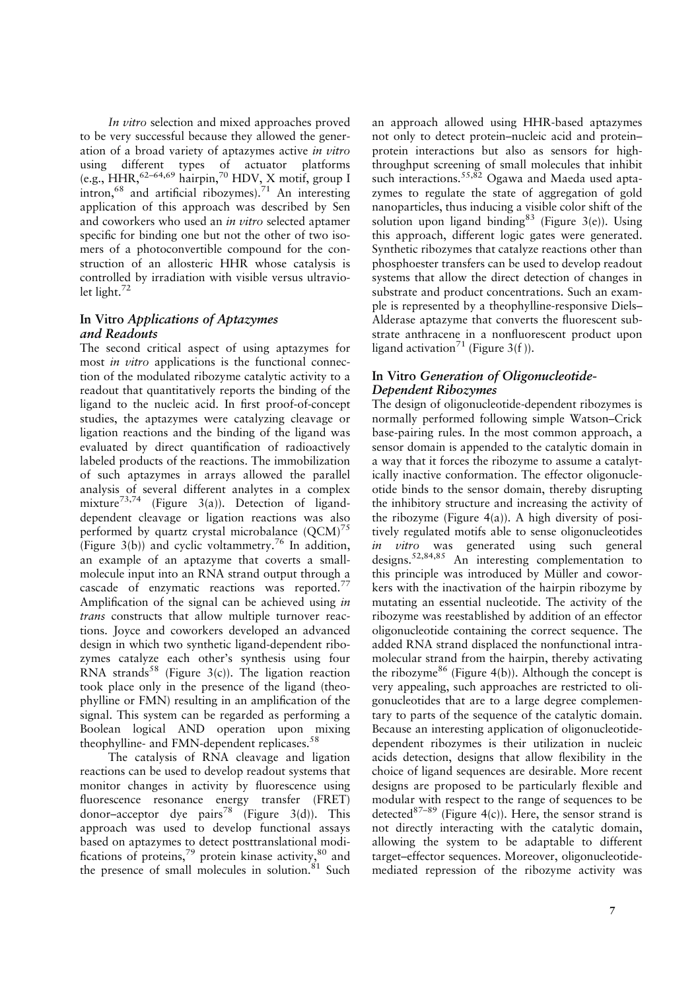*In vitro* selection and mixed approaches proved to be very successful because they allowed the generation of a broad variety of aptazymes active *in vitro* using different types of actuator platforms (e.g., HHR,  $62-64,69$  hairpin,<sup>70</sup> HDV, X motif, group I intron,<sup>68</sup> and artificial ribozymes).<sup>71</sup> An interesting application of this approach was described by Sen and coworkers who used an *in vitro* selected aptamer specific for binding one but not the other of two isomers of a photoconvertible compound for the construction of an allosteric HHR whose catalysis is controlled by irradiation with visible versus ultraviolet light.<sup>72</sup>

# **In Vitro** *Applications of Aptazymes and Readouts*

The second critical aspect of using aptazymes for most *in vitro* applications is the functional connection of the modulated ribozyme catalytic activity to a readout that quantitatively reports the binding of the ligand to the nucleic acid. In first proof-of-concept studies, the aptazymes were catalyzing cleavage or ligation reactions and the binding of the ligand was evaluated by direct quantification of radioactively labeled products of the reactions. The immobilization of such aptazymes in arrays allowed the parallel analysis of several different analytes in a complex mixture<sup>73,74</sup> (Figure 3(a)). Detection of liganddependent cleavage or ligation reactions was also performed by quartz crystal microbalance  $(QCM)^{75}$ (Figure 3(b)) and cyclic voltammetry.<sup>76</sup> In addition, an example of an aptazyme that coverts a smallmolecule input into an RNA strand output through a cascade of enzymatic reactions was reported.<sup>77</sup> Amplification of the signal can be achieved using *in trans* constructs that allow multiple turnover reactions. Joyce and coworkers developed an advanced design in which two synthetic ligand-dependent ribozymes catalyze each other's synthesis using four RNA strands<sup>58</sup> (Figure 3(c)). The ligation reaction took place only in the presence of the ligand (theophylline or FMN) resulting in an amplification of the signal. This system can be regarded as performing a Boolean logical AND operation upon mixing theophylline- and FMN-dependent replicases.<sup>58</sup>

The catalysis of RNA cleavage and ligation reactions can be used to develop readout systems that monitor changes in activity by fluorescence using fluorescence resonance energy transfer (FRET) donor-acceptor dye pairs<sup>78</sup> (Figure 3(d)). This approach was used to develop functional assays based on aptazymes to detect posttranslational modifications of proteins,<sup>79</sup> protein kinase activity, $80$  and the presence of small molecules in solution.<sup>81</sup> Such

an approach allowed using HHR-based aptazymes not only to detect protein–nucleic acid and protein– protein interactions but also as sensors for highthroughput screening of small molecules that inhibit such interactions.<sup>55,82</sup> Ogawa and Maeda used aptazymes to regulate the state of aggregation of gold nanoparticles, thus inducing a visible color shift of the solution upon ligand binding<sup>83</sup> (Figure 3(e)). Using this approach, different logic gates were generated. Synthetic ribozymes that catalyze reactions other than phosphoester transfers can be used to develop readout systems that allow the direct detection of changes in substrate and product concentrations. Such an example is represented by a theophylline-responsive Diels– Alderase aptazyme that converts the fluorescent substrate anthracene in a nonfluorescent product upon ligand activation<sup>71</sup> (Figure 3(f)).

# **In Vitro** *Generation of Oligonucleotide-Dependent Ribozymes*

The design of oligonucleotide-dependent ribozymes is normally performed following simple Watson–Crick base-pairing rules. In the most common approach, a sensor domain is appended to the catalytic domain in a way that it forces the ribozyme to assume a catalytically inactive conformation. The effector oligonucleotide binds to the sensor domain, thereby disrupting the inhibitory structure and increasing the activity of the ribozyme (Figure  $4(a)$ ). A high diversity of positively regulated motifs able to sense oligonucleotides *in vitro* was generated using such general designs.52,84,85 An interesting complementation to this principle was introduced by Müller and coworkers with the inactivation of the hairpin ribozyme by mutating an essential nucleotide. The activity of the ribozyme was reestablished by addition of an effector oligonucleotide containing the correct sequence. The added RNA strand displaced the nonfunctional intramolecular strand from the hairpin, thereby activating the ribozyme<sup>86</sup> (Figure 4(b)). Although the concept is very appealing, such approaches are restricted to oligonucleotides that are to a large degree complementary to parts of the sequence of the catalytic domain. Because an interesting application of oligonucleotidedependent ribozymes is their utilization in nucleic acids detection, designs that allow flexibility in the choice of ligand sequences are desirable. More recent designs are proposed to be particularly flexible and modular with respect to the range of sequences to be detected $87-89$  (Figure 4(c)). Here, the sensor strand is not directly interacting with the catalytic domain, allowing the system to be adaptable to different target–effector sequences. Moreover, oligonucleotidemediated repression of the ribozyme activity was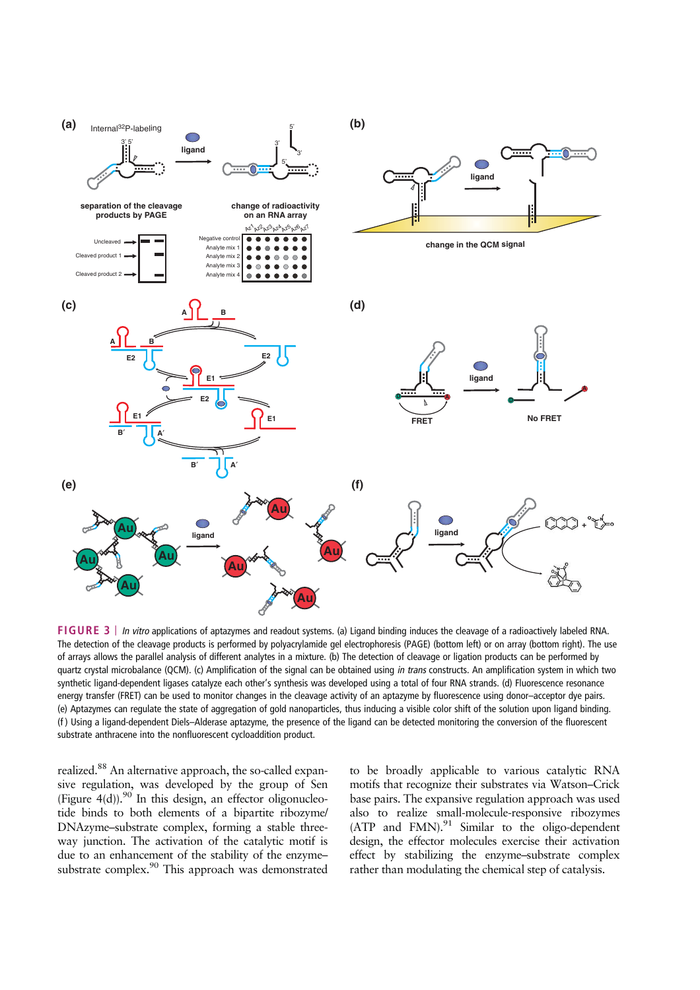

**FIGURE 3** | In vitro applications of aptazymes and readout systems. (a) Ligand binding induces the cleavage of a radioactively labeled RNA. The detection of the cleavage products is performed by polyacrylamide gel electrophoresis (PAGE) (bottom left) or on array (bottom right). The use of arrays allows the parallel analysis of different analytes in a mixture. (b) The detection of cleavage or ligation products can be performed by quartz crystal microbalance (QCM). (c) Amplification of the signal can be obtained using in trans constructs. An amplification system in which two synthetic ligand-dependent ligases catalyze each other's synthesis was developed using a total of four RNA strands. (d) Fluorescence resonance energy transfer (FRET) can be used to monitor changes in the cleavage activity of an aptazyme by fluorescence using donor–acceptor dye pairs. (e) Aptazymes can regulate the state of aggregation of gold nanoparticles, thus inducing a visible color shift of the solution upon ligand binding. (f ) Using a ligand-dependent Diels–Alderase aptazyme, the presence of the ligand can be detected monitoring the conversion of the fluorescent substrate anthracene into the nonfluorescent cycloaddition product.

realized.88 An alternative approach, the so-called expansive regulation, was developed by the group of Sen (Figure  $4(d)$ ).<sup>90</sup> In this design, an effector oligonucleotide binds to both elements of a bipartite ribozyme/ DNAzyme–substrate complex, forming a stable threeway junction. The activation of the catalytic motif is due to an enhancement of the stability of the enzyme– substrate complex.<sup>90</sup> This approach was demonstrated

to be broadly applicable to various catalytic RNA motifs that recognize their substrates via Watson–Crick base pairs. The expansive regulation approach was used also to realize small-molecule-responsive ribozymes (ATP and FMN).<sup>91</sup> Similar to the oligo-dependent design, the effector molecules exercise their activation effect by stabilizing the enzyme–substrate complex rather than modulating the chemical step of catalysis.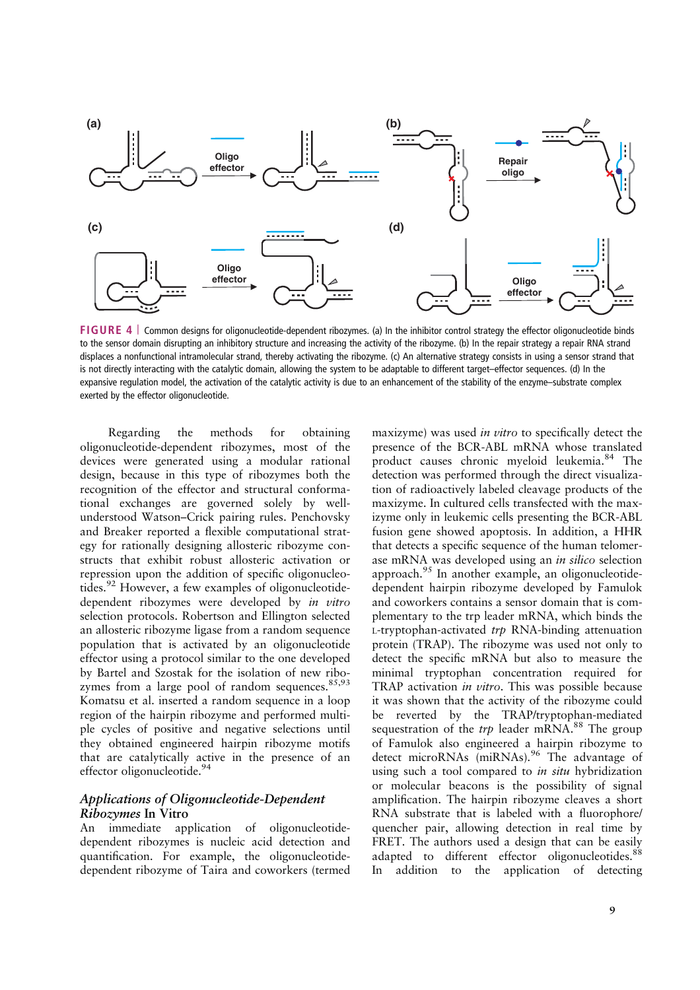

**FIGURE 4** Common designs for oligonucleotide-dependent ribozymes. (a) In the inhibitor control strategy the effector oligonucleotide binds to the sensor domain disrupting an inhibitory structure and increasing the activity of the ribozyme. (b) In the repair strategy a repair RNA strand displaces a nonfunctional intramolecular strand, thereby activating the ribozyme. (c) An alternative strategy consists in using a sensor strand that is not directly interacting with the catalytic domain, allowing the system to be adaptable to different target–effector sequences. (d) In the expansive regulation model, the activation of the catalytic activity is due to an enhancement of the stability of the enzyme–substrate complex exerted by the effector oligonucleotide.

Regarding the methods for obtaining oligonucleotide-dependent ribozymes, most of the devices were generated using a modular rational design, because in this type of ribozymes both the recognition of the effector and structural conformational exchanges are governed solely by wellunderstood Watson–Crick pairing rules. Penchovsky and Breaker reported a flexible computational strategy for rationally designing allosteric ribozyme constructs that exhibit robust allosteric activation or repression upon the addition of specific oligonucleotides.<sup>92</sup> However, a few examples of oligonucleotidedependent ribozymes were developed by *in vitro* selection protocols. Robertson and Ellington selected an allosteric ribozyme ligase from a random sequence population that is activated by an oligonucleotide effector using a protocol similar to the one developed by Bartel and Szostak for the isolation of new ribozymes from a large pool of random sequences.  $85,93$ Komatsu et al. inserted a random sequence in a loop region of the hairpin ribozyme and performed multiple cycles of positive and negative selections until they obtained engineered hairpin ribozyme motifs that are catalytically active in the presence of an effector oligonucleotide.<sup>94</sup>

#### *Applications of Oligonucleotide-Dependent Ribozymes* **In Vitro**

An immediate application of oligonucleotidedependent ribozymes is nucleic acid detection and quantification. For example, the oligonucleotidedependent ribozyme of Taira and coworkers (termed maxizyme) was used *in vitro* to specifically detect the presence of the BCR-ABL mRNA whose translated product causes chronic myeloid leukemia.<sup>84</sup> The detection was performed through the direct visualization of radioactively labeled cleavage products of the maxizyme. In cultured cells transfected with the maxizyme only in leukemic cells presenting the BCR-ABL fusion gene showed apoptosis. In addition, a HHR that detects a specific sequence of the human telomerase mRNA was developed using an *in silico* selection approach. $95$  In another example, an oligonucleotidedependent hairpin ribozyme developed by Famulok and coworkers contains a sensor domain that is complementary to the trp leader mRNA, which binds the L-tryptophan-activated *trp* RNA-binding attenuation protein (TRAP). The ribozyme was used not only to detect the specific mRNA but also to measure the minimal tryptophan concentration required for TRAP activation *in vitro*. This was possible because it was shown that the activity of the ribozyme could be reverted by the TRAP/tryptophan-mediated sequestration of the *trp* leader mRNA.<sup>88</sup> The group of Famulok also engineered a hairpin ribozyme to detect microRNAs (miRNAs).<sup>96</sup> The advantage of using such a tool compared to *in situ* hybridization or molecular beacons is the possibility of signal amplification. The hairpin ribozyme cleaves a short RNA substrate that is labeled with a fluorophore/ quencher pair, allowing detection in real time by FRET. The authors used a design that can be easily adapted to different effector oligonucleotides.<sup>88</sup> In addition to the application of detecting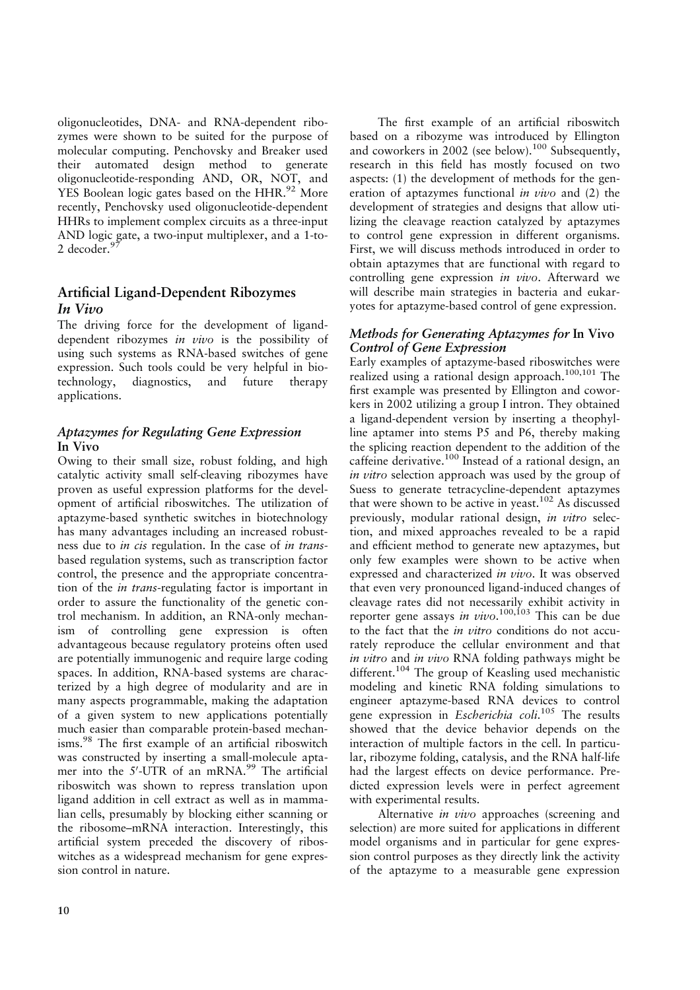oligonucleotides, DNA- and RNA-dependent ribozymes were shown to be suited for the purpose of molecular computing. Penchovsky and Breaker used their automated design method to generate oligonucleotide-responding AND, OR, NOT, and YES Boolean logic gates based on the HHR.<sup>92</sup> More recently, Penchovsky used oligonucleotide-dependent HHRs to implement complex circuits as a three-input AND logic gate, a two-input multiplexer, and a 1-to-2 decoder. $\frac{9}{2}$ 

# **Artificial Ligand-Dependent Ribozymes** *In Vivo*

The driving force for the development of liganddependent ribozymes *in vivo* is the possibility of using such systems as RNA-based switches of gene expression. Such tools could be very helpful in biotechnology, diagnostics, and future therapy applications.

# *Aptazymes for Regulating Gene Expression* **In Vivo**

Owing to their small size, robust folding, and high catalytic activity small self-cleaving ribozymes have proven as useful expression platforms for the development of artificial riboswitches. The utilization of aptazyme-based synthetic switches in biotechnology has many advantages including an increased robustness due to *in cis* regulation. In the case of *in trans*based regulation systems, such as transcription factor control, the presence and the appropriate concentration of the *in trans*-regulating factor is important in order to assure the functionality of the genetic control mechanism. In addition, an RNA-only mechanism of controlling gene expression is often advantageous because regulatory proteins often used are potentially immunogenic and require large coding spaces. In addition, RNA-based systems are characterized by a high degree of modularity and are in many aspects programmable, making the adaptation of a given system to new applications potentially much easier than comparable protein-based mechanisms.98 The first example of an artificial riboswitch was constructed by inserting a small-molecule aptamer into the 5'-UTR of an mRNA.<sup>99</sup> The artificial riboswitch was shown to repress translation upon ligand addition in cell extract as well as in mammalian cells, presumably by blocking either scanning or the ribosome–mRNA interaction. Interestingly, this artificial system preceded the discovery of riboswitches as a widespread mechanism for gene expression control in nature.

The first example of an artificial riboswitch based on a ribozyme was introduced by Ellington and coworkers in  $2002$  (see below).<sup>100</sup> Subsequently, research in this field has mostly focused on two aspects: (1) the development of methods for the generation of aptazymes functional *in vivo* and (2) the development of strategies and designs that allow utilizing the cleavage reaction catalyzed by aptazymes to control gene expression in different organisms. First, we will discuss methods introduced in order to obtain aptazymes that are functional with regard to controlling gene expression *in vivo*. Afterward we will describe main strategies in bacteria and eukaryotes for aptazyme-based control of gene expression.

# *Methods for Generating Aptazymes for* **In Vivo** *Control of Gene Expression*

Early examples of aptazyme-based riboswitches were realized using a rational design approach.<sup>100,101</sup> The first example was presented by Ellington and coworkers in 2002 utilizing a group I intron. They obtained a ligand-dependent version by inserting a theophylline aptamer into stems P5 and P6, thereby making the splicing reaction dependent to the addition of the caffeine derivative.100 Instead of a rational design, an *in vitro* selection approach was used by the group of Suess to generate tetracycline-dependent aptazymes that were shown to be active in yeast.<sup>102</sup> As discussed previously, modular rational design, *in vitro* selection, and mixed approaches revealed to be a rapid and efficient method to generate new aptazymes, but only few examples were shown to be active when expressed and characterized *in vivo*. It was observed that even very pronounced ligand-induced changes of cleavage rates did not necessarily exhibit activity in reporter gene assays *in vivo*. 100,103 This can be due to the fact that the *in vitro* conditions do not accurately reproduce the cellular environment and that *in vitro* and *in vivo* RNA folding pathways might be different.<sup>104</sup> The group of Keasling used mechanistic modeling and kinetic RNA folding simulations to engineer aptazyme-based RNA devices to control gene expression in *Escherichia coli*. <sup>105</sup> The results showed that the device behavior depends on the interaction of multiple factors in the cell. In particular, ribozyme folding, catalysis, and the RNA half-life had the largest effects on device performance. Predicted expression levels were in perfect agreement with experimental results.

Alternative *in vivo* approaches (screening and selection) are more suited for applications in different model organisms and in particular for gene expression control purposes as they directly link the activity of the aptazyme to a measurable gene expression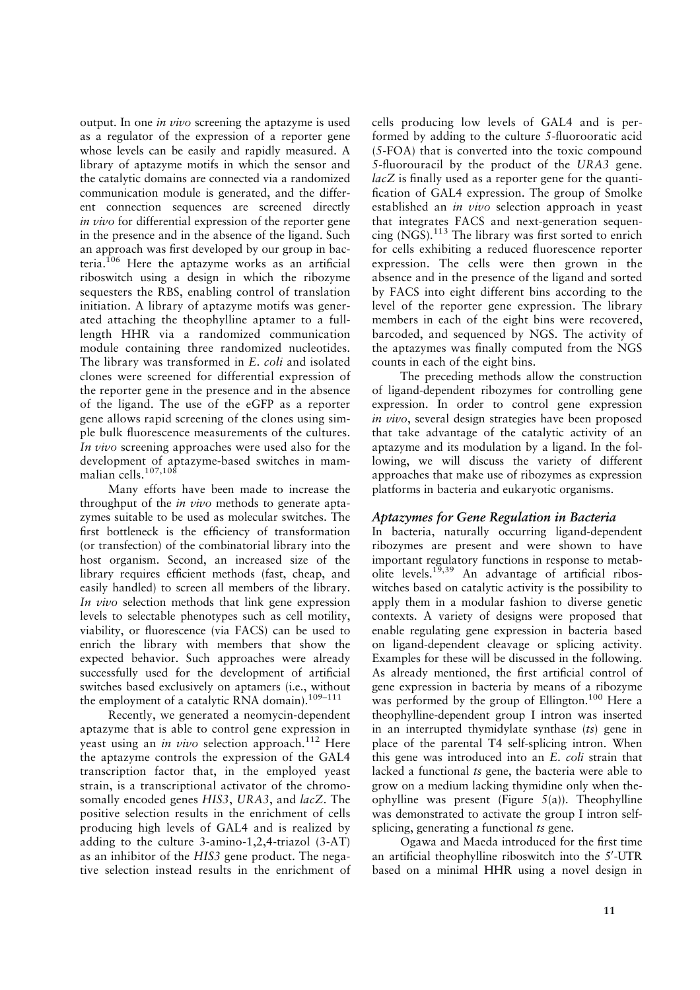output. In one *in vivo* screening the aptazyme is used as a regulator of the expression of a reporter gene whose levels can be easily and rapidly measured. A library of aptazyme motifs in which the sensor and the catalytic domains are connected via a randomized communication module is generated, and the different connection sequences are screened directly *in vivo* for differential expression of the reporter gene in the presence and in the absence of the ligand. Such an approach was first developed by our group in bacteria.<sup>106</sup> Here the aptazyme works as an artificial riboswitch using a design in which the ribozyme sequesters the RBS, enabling control of translation initiation. A library of aptazyme motifs was generated attaching the theophylline aptamer to a fulllength HHR via a randomized communication module containing three randomized nucleotides. The library was transformed in *E*. *coli* and isolated clones were screened for differential expression of the reporter gene in the presence and in the absence of the ligand. The use of the eGFP as a reporter gene allows rapid screening of the clones using simple bulk fluorescence measurements of the cultures. *In vivo* screening approaches were used also for the development of aptazyme-based switches in mammalian cells.<sup>107,108</sup>

Many efforts have been made to increase the throughput of the *in vivo* methods to generate aptazymes suitable to be used as molecular switches. The first bottleneck is the efficiency of transformation (or transfection) of the combinatorial library into the host organism. Second, an increased size of the library requires efficient methods (fast, cheap, and easily handled) to screen all members of the library. *In vivo* selection methods that link gene expression levels to selectable phenotypes such as cell motility, viability, or fluorescence (via FACS) can be used to enrich the library with members that show the expected behavior. Such approaches were already successfully used for the development of artificial switches based exclusively on aptamers (i.e., without the employment of a catalytic RNA domain).<sup>109-111</sup>

Recently, we generated a neomycin-dependent aptazyme that is able to control gene expression in yeast using an *in vivo* selection approach.<sup>112</sup> Here the aptazyme controls the expression of the GAL4 transcription factor that, in the employed yeast strain, is a transcriptional activator of the chromosomally encoded genes *HIS3*, *URA3*, and *lacZ*. The positive selection results in the enrichment of cells producing high levels of GAL4 and is realized by adding to the culture 3-amino-1,2,4-triazol (3-AT) as an inhibitor of the *HIS3* gene product. The negative selection instead results in the enrichment of cells producing low levels of GAL4 and is performed by adding to the culture 5-fluorooratic acid (5-FOA) that is converted into the toxic compound 5-fluorouracil by the product of the *URA3* gene. *lacZ* is finally used as a reporter gene for the quantification of GAL4 expression. The group of Smolke established an *in vivo* selection approach in yeast that integrates FACS and next-generation sequencing  $(N\tilde{GS})$ .<sup>113</sup> The library was first sorted to enrich for cells exhibiting a reduced fluorescence reporter expression. The cells were then grown in the absence and in the presence of the ligand and sorted by FACS into eight different bins according to the level of the reporter gene expression. The library members in each of the eight bins were recovered, barcoded, and sequenced by NGS. The activity of the aptazymes was finally computed from the NGS counts in each of the eight bins.

The preceding methods allow the construction of ligand-dependent ribozymes for controlling gene expression. In order to control gene expression *in vivo*, several design strategies have been proposed that take advantage of the catalytic activity of an aptazyme and its modulation by a ligand. In the following, we will discuss the variety of different approaches that make use of ribozymes as expression platforms in bacteria and eukaryotic organisms.

#### *Aptazymes for Gene Regulation in Bacteria*

In bacteria, naturally occurring ligand-dependent ribozymes are present and were shown to have important regulatory functions in response to metabolite levels.<sup>19,39</sup> An advantage of artificial riboswitches based on catalytic activity is the possibility to apply them in a modular fashion to diverse genetic contexts. A variety of designs were proposed that enable regulating gene expression in bacteria based on ligand-dependent cleavage or splicing activity. Examples for these will be discussed in the following. As already mentioned, the first artificial control of gene expression in bacteria by means of a ribozyme was performed by the group of Ellington.<sup>100</sup> Here a theophylline-dependent group I intron was inserted in an interrupted thymidylate synthase (*ts*) gene in place of the parental T4 self-splicing intron. When this gene was introduced into an *E*. *coli* strain that lacked a functional *ts* gene, the bacteria were able to grow on a medium lacking thymidine only when theophylline was present (Figure  $5(a)$ ). Theophylline was demonstrated to activate the group I intron selfsplicing, generating a functional *ts* gene.

Ogawa and Maeda introduced for the first time an artificial theophylline riboswitch into the 5'-UTR based on a minimal HHR using a novel design in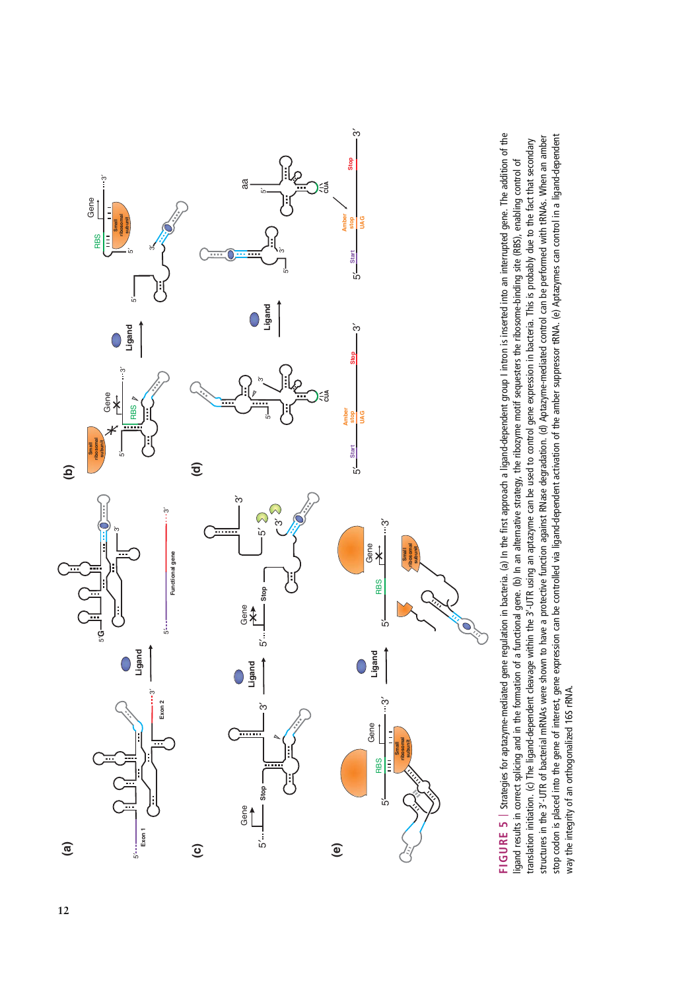

FIGURE 5 | Strategies for aptazyme-mediated gene regulation in bacteria. (a) In the first approach a ligand-dependent group I intron is inserted into an interrupted gene. The addition of the **FIGURE 5** | Strategies for aptazyme-mediated gene regulation in bacteria. (a) In the first approach a ligand-dependent group I intron is inserted into an interrupted gene. The addition of the structures in the 3'-UTR of bacterial mRNAs were shown to have a protective function against RNase degradation. (d) Aptazyme-mediated control can be performed with tRNAs. When an amber stop codon is placed into the gene of interest, gene expression can be controlled via ligand-dependent activation of the amber suppressor tRNA. (e) Aptazymes can control in a ligand-dependent stop codon is placed into the gene of interest, gene expression can be controlled via ligand-dependent activation of the amber suppressor tRNA. (e) Aptazymes can control in a ligand-dependent translation initiation. (c) The ligand-dependent cleavage within the 3'-UTR using an aptrazyme can be used to control gene expression in bacteria. This is probably due to the fact that secondary structures in the 30-UTR of bacterial mRNAs were shown to have a protective function against RNase degradation. (d) Aptazyme-mediated control can be performed with tRNAs. When an amber translation initiation. (c) The ligand-dependent cleavage within the 3<sup>-</sup>UTR using an aptazyme can be used to control gene expression in bacteria. This is probably due to the fact that secondary ligand results in correct splicing and in the formation of a functional gene. (b) In an alternative strategy, the ribozyme motif sequesters the ribosome-binding site (RBS), enabling control of ligand results in correct splicing and in the formation of a functional gene. (b) In an alternative strategy, the ribozyme motif sequesters the ribosome-binding site (RBS), enabling control of way the integrity of an orthogonalized 16S rRNA. way the integrity of an orthogonalized 16S rRNA.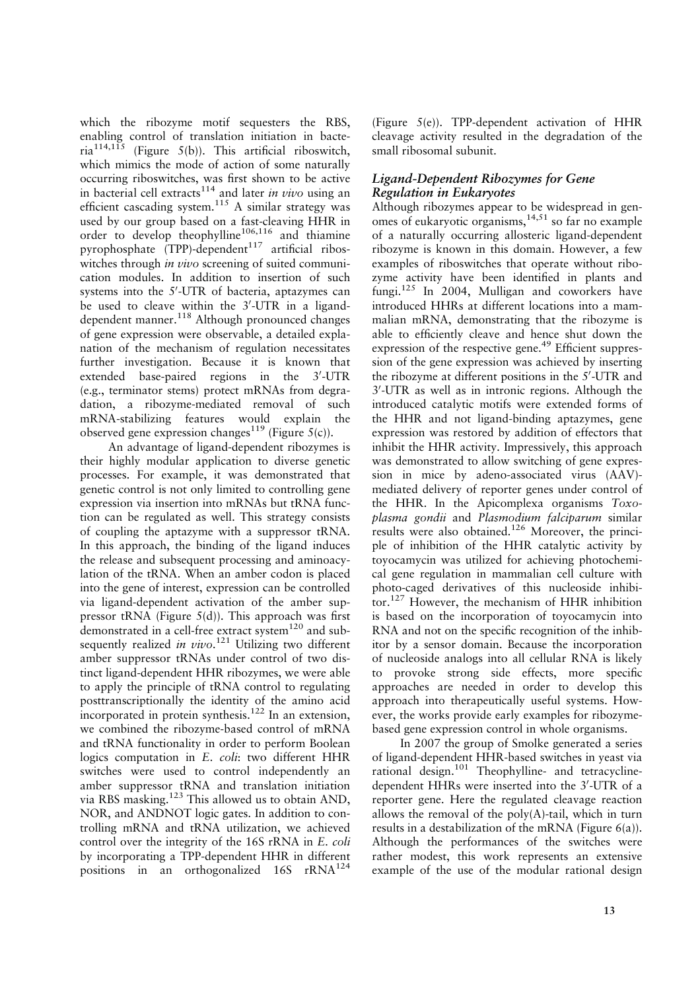which the ribozyme motif sequesters the RBS, enabling control of translation initiation in bacteria<sup>114,115</sup> (Figure 5(b)). This artificial riboswitch, which mimics the mode of action of some naturally occurring riboswitches, was first shown to be active in bacterial cell extracts<sup>114</sup> and later *in vivo* using an efficient cascading system.<sup>115</sup> A similar strategy was used by our group based on a fast-cleaving HHR in order to develop theophylline<sup>106,116</sup> and thiamine  $pyrophosphate$  (TPP)-dependent<sup>117</sup> artificial riboswitches through *in vivo* screening of suited communication modules. In addition to insertion of such systems into the  $5'$ -UTR of bacteria, aptazymes can be used to cleave within the 3'-UTR in a liganddependent manner.<sup>118</sup> Although pronounced changes of gene expression were observable, a detailed explanation of the mechanism of regulation necessitates further investigation. Because it is known that extended base-paired regions in the 3'-UTR (e.g., terminator stems) protect mRNAs from degradation, a ribozyme-mediated removal of such mRNA-stabilizing features would explain the observed gene expression changes<sup>119</sup> (Figure 5(c)).

An advantage of ligand-dependent ribozymes is their highly modular application to diverse genetic processes. For example, it was demonstrated that genetic control is not only limited to controlling gene expression via insertion into mRNAs but tRNA function can be regulated as well. This strategy consists of coupling the aptazyme with a suppressor tRNA. In this approach, the binding of the ligand induces the release and subsequent processing and aminoacylation of the tRNA. When an amber codon is placed into the gene of interest, expression can be controlled via ligand-dependent activation of the amber suppressor tRNA (Figure  $5(d)$ ). This approach was first demonstrated in a cell-free extract system<sup>120</sup> and subsequently realized *in vivo*. <sup>121</sup> Utilizing two different amber suppressor tRNAs under control of two distinct ligand-dependent HHR ribozymes, we were able to apply the principle of tRNA control to regulating posttranscriptionally the identity of the amino acid incorporated in protein synthesis.<sup>122</sup> In an extension, we combined the ribozyme-based control of mRNA and tRNA functionality in order to perform Boolean logics computation in *E*. *coli*: two different HHR switches were used to control independently an amber suppressor tRNA and translation initiation via RBS masking.<sup>123</sup> This allowed us to obtain AND, NOR, and ANDNOT logic gates. In addition to controlling mRNA and tRNA utilization, we achieved control over the integrity of the 16S rRNA in *E*. *coli* by incorporating a TPP-dependent HHR in different positions in an orthogonalized 16S rRNA<sup>124</sup> (Figure 5(e)). TPP-dependent activation of HHR cleavage activity resulted in the degradation of the small ribosomal subunit.

#### *Ligand-Dependent Ribozymes for Gene Regulation in Eukaryotes*

Although ribozymes appear to be widespread in genomes of eukaryotic organisms, $14,51$  so far no example of a naturally occurring allosteric ligand-dependent ribozyme is known in this domain. However, a few examples of riboswitches that operate without ribozyme activity have been identified in plants and fungi.<sup>125</sup> In 2004, Mulligan and coworkers have introduced HHRs at different locations into a mammalian mRNA, demonstrating that the ribozyme is able to efficiently cleave and hence shut down the expression of the respective gene.<sup>49</sup> Efficient suppression of the gene expression was achieved by inserting the ribozyme at different positions in the  $5'$ -UTR and 3'-UTR as well as in intronic regions. Although the introduced catalytic motifs were extended forms of the HHR and not ligand-binding aptazymes, gene expression was restored by addition of effectors that inhibit the HHR activity. Impressively, this approach was demonstrated to allow switching of gene expression in mice by adeno-associated virus (AAV) mediated delivery of reporter genes under control of the HHR. In the Apicomplexa organisms *Toxoplasma gondii* and *Plasmodium falciparum* similar results were also obtained.<sup>126</sup> Moreover, the principle of inhibition of the HHR catalytic activity by toyocamycin was utilized for achieving photochemical gene regulation in mammalian cell culture with photo-caged derivatives of this nucleoside inhibitor.<sup>127</sup> However, the mechanism of HHR inhibition is based on the incorporation of toyocamycin into RNA and not on the specific recognition of the inhibitor by a sensor domain. Because the incorporation of nucleoside analogs into all cellular RNA is likely provoke strong side effects, more specific approaches are needed in order to develop this approach into therapeutically useful systems. However, the works provide early examples for ribozymebased gene expression control in whole organisms.

In 2007 the group of Smolke generated a series of ligand-dependent HHR-based switches in yeast via rational design.<sup>101</sup> Theophylline- and tetracyclinedependent HHRs were inserted into the 3'-UTR of a reporter gene. Here the regulated cleavage reaction allows the removal of the  $poly(A)$ -tail, which in turn results in a destabilization of the mRNA (Figure 6(a)). Although the performances of the switches were rather modest, this work represents an extensive example of the use of the modular rational design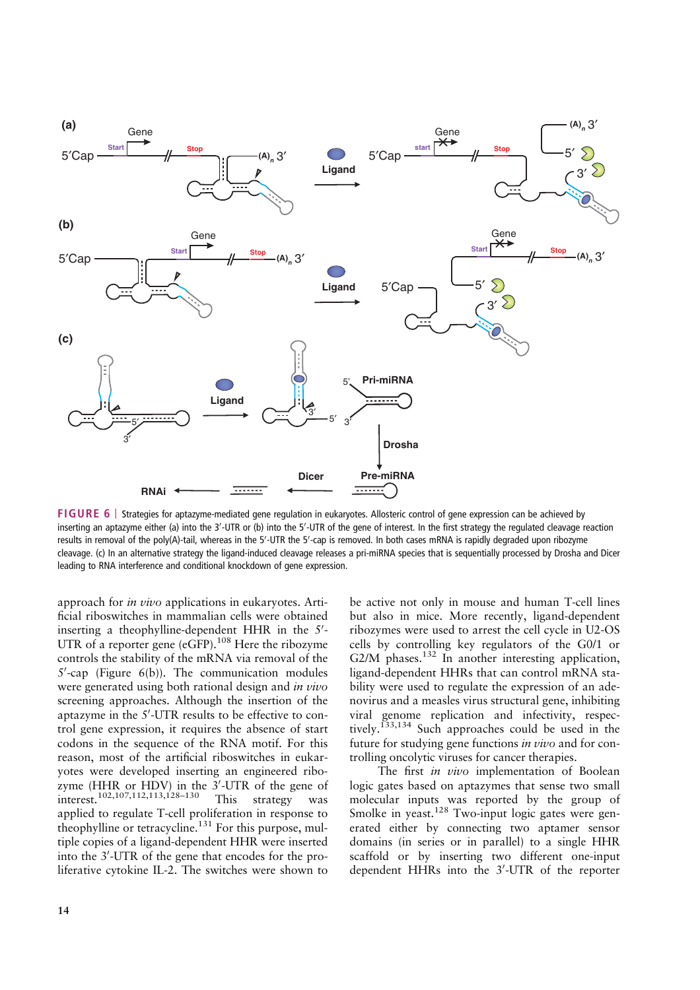

**FIGURE 6** | Strategies for aptazyme-mediated gene regulation in eukaryotes. Allosteric control of gene expression can be achieved by inserting an aptazyme either (a) into the 3'-UTR or (b) into the 5'-UTR of the gene of interest. In the first strategy the regulated cleavage reaction results in removal of the poly(A)-tail, whereas in the 5'-UTR the 5'-cap is removed. In both cases mRNA is rapidly degraded upon ribozyme cleavage. (c) In an alternative strategy the ligand-induced cleavage releases a pri-miRNA species that is sequentially processed by Drosha and Dicer leading to RNA interference and conditional knockdown of gene expression.

approach for *in vivo* applications in eukaryotes. Artificial riboswitches in mammalian cells were obtained inserting a theophylline-dependent HHR in the  $5'$ -UTR of a reporter gene (eGFP).<sup>108</sup> Here the ribozyme controls the stability of the mRNA via removal of the  $5'$ -cap (Figure 6(b)). The communication modules were generated using both rational design and *in vivo* screening approaches. Although the insertion of the aptazyme in the 5'-UTR results to be effective to control gene expression, it requires the absence of start codons in the sequence of the RNA motif. For this reason, most of the artificial riboswitches in eukaryotes were developed inserting an engineered ribozyme (HHR or HDV) in the 3'-UTR of the gene of interest.102,107,112,113,128–<sup>130</sup> This strategy was applied to regulate T-cell proliferation in response to theophylline or tetracycline.<sup>131</sup> For this purpose, multiple copies of a ligand-dependent HHR were inserted into the 3'-UTR of the gene that encodes for the proliferative cytokine IL-2. The switches were shown to

be active not only in mouse and human T-cell lines but also in mice. More recently, ligand-dependent ribozymes were used to arrest the cell cycle in U2-OS cells by controlling key regulators of the G0/1 or G2/M phases. $132$  In another interesting application, ligand-dependent HHRs that can control mRNA stability were used to regulate the expression of an adenovirus and a measles virus structural gene, inhibiting viral genome replication and infectivity, respectively.133,134 Such approaches could be used in the future for studying gene functions *in vivo* and for controlling oncolytic viruses for cancer therapies.

The first *in vivo* implementation of Boolean logic gates based on aptazymes that sense two small molecular inputs was reported by the group of Smolke in yeast.<sup>128</sup> Two-input logic gates were generated either by connecting two aptamer sensor domains (in series or in parallel) to a single HHR scaffold or by inserting two different one-input dependent HHRs into the 3'-UTR of the reporter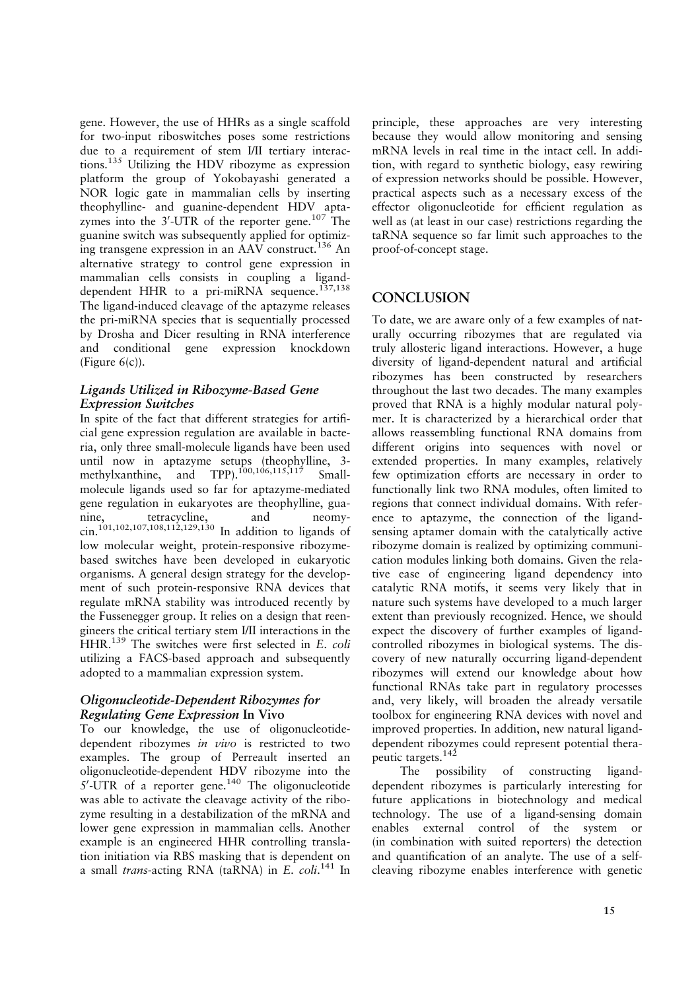gene. However, the use of HHRs as a single scaffold for two-input riboswitches poses some restrictions due to a requirement of stem I/II tertiary interactions.<sup>135</sup> Utilizing the HDV ribozyme as expression platform the group of Yokobayashi generated a NOR logic gate in mammalian cells by inserting theophylline- and guanine-dependent HDV aptazymes into the  $3'$ -UTR of the reporter gene.<sup>107</sup> The guanine switch was subsequently applied for optimizing transgene expression in an AAV construct.<sup>136</sup> An alternative strategy to control gene expression in mammalian cells consists in coupling a liganddependent HHR to a pri-miRNA sequence.<sup>137,138</sup> The ligand-induced cleavage of the aptazyme releases the pri-miRNA species that is sequentially processed by Drosha and Dicer resulting in RNA interference and conditional gene expression knockdown (Figure  $6(c)$ ).

# *Ligands Utilized in Ribozyme-Based Gene Expression Switches*

In spite of the fact that different strategies for artificial gene expression regulation are available in bacteria, only three small-molecule ligands have been used until now in aptazyme setups (theophylline, 3 methylxanthine, and TPP).<sup>100,106,115,117</sup> Smallmolecule ligands used so far for aptazyme-mediated gene regulation in eukaryotes are theophylline, guanine, tetracycline, and neomycin.<sup>101,102,107,108,112,129,130</sup> In addition to ligands of low molecular weight, protein-responsive ribozymebased switches have been developed in eukaryotic organisms. A general design strategy for the development of such protein-responsive RNA devices that regulate mRNA stability was introduced recently by the Fussenegger group. It relies on a design that reengineers the critical tertiary stem I/II interactions in the HHR.<sup>139</sup> The switches were first selected in *E*. *coli* utilizing a FACS-based approach and subsequently adopted to a mammalian expression system.

## *Oligonucleotide-Dependent Ribozymes for Regulating Gene Expression* **In Vivo**

To our knowledge, the use of oligonucleotidedependent ribozymes *in vivo* is restricted to two examples. The group of Perreault inserted an oligonucleotide-dependent HDV ribozyme into the 5'-UTR of a reporter gene.<sup>140</sup> The oligonucleotide was able to activate the cleavage activity of the ribozyme resulting in a destabilization of the mRNA and lower gene expression in mammalian cells. Another example is an engineered HHR controlling translation initiation via RBS masking that is dependent on a small *trans*-acting RNA (taRNA) in *E*. *coli*. <sup>141</sup> In

principle, these approaches are very interesting because they would allow monitoring and sensing mRNA levels in real time in the intact cell. In addition, with regard to synthetic biology, easy rewiring of expression networks should be possible. However, practical aspects such as a necessary excess of the effector oligonucleotide for efficient regulation as well as (at least in our case) restrictions regarding the taRNA sequence so far limit such approaches to the proof-of-concept stage.

# **CONCLUSION**

To date, we are aware only of a few examples of naturally occurring ribozymes that are regulated via truly allosteric ligand interactions. However, a huge diversity of ligand-dependent natural and artificial ribozymes has been constructed by researchers throughout the last two decades. The many examples proved that RNA is a highly modular natural polymer. It is characterized by a hierarchical order that allows reassembling functional RNA domains from different origins into sequences with novel or extended properties. In many examples, relatively few optimization efforts are necessary in order to functionally link two RNA modules, often limited to regions that connect individual domains. With reference to aptazyme, the connection of the ligandsensing aptamer domain with the catalytically active ribozyme domain is realized by optimizing communication modules linking both domains. Given the relative ease of engineering ligand dependency into catalytic RNA motifs, it seems very likely that in nature such systems have developed to a much larger extent than previously recognized. Hence, we should expect the discovery of further examples of ligandcontrolled ribozymes in biological systems. The discovery of new naturally occurring ligand-dependent ribozymes will extend our knowledge about how functional RNAs take part in regulatory processes and, very likely, will broaden the already versatile toolbox for engineering RNA devices with novel and improved properties. In addition, new natural liganddependent ribozymes could represent potential therapeutic targets.<sup>142</sup>

The possibility of constructing liganddependent ribozymes is particularly interesting for future applications in biotechnology and medical technology. The use of a ligand-sensing domain enables external control of the system or (in combination with suited reporters) the detection and quantification of an analyte. The use of a selfcleaving ribozyme enables interference with genetic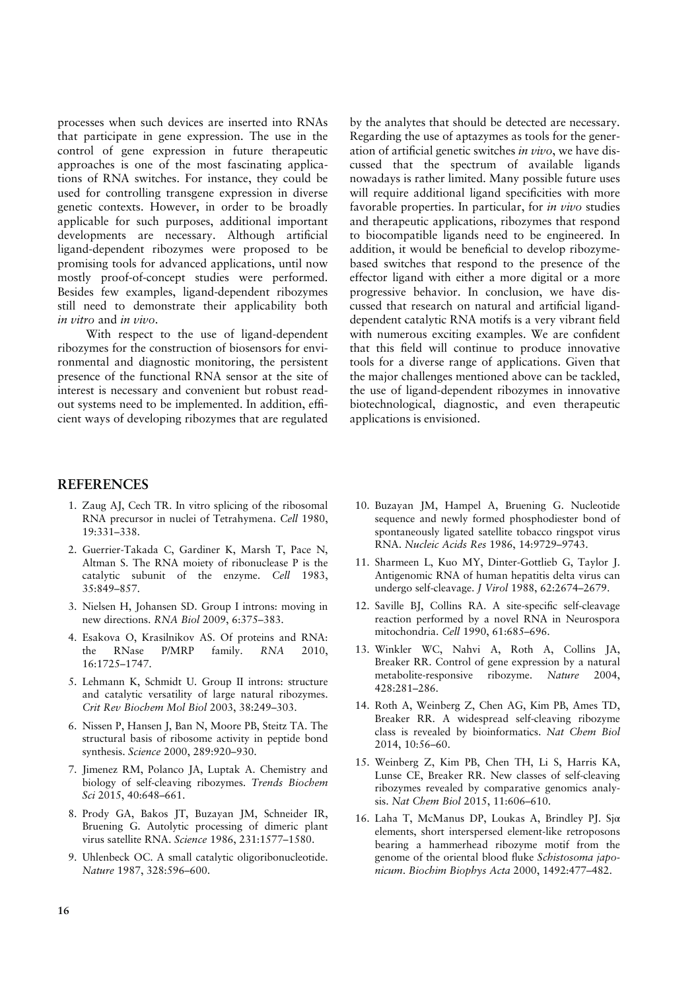processes when such devices are inserted into RNAs that participate in gene expression. The use in the control of gene expression in future therapeutic approaches is one of the most fascinating applications of RNA switches. For instance, they could be used for controlling transgene expression in diverse genetic contexts. However, in order to be broadly applicable for such purposes, additional important developments are necessary. Although artificial ligand-dependent ribozymes were proposed to be promising tools for advanced applications, until now mostly proof-of-concept studies were performed. Besides few examples, ligand-dependent ribozymes still need to demonstrate their applicability both *in vitro* and *in vivo*.

With respect to the use of ligand-dependent ribozymes for the construction of biosensors for environmental and diagnostic monitoring, the persistent presence of the functional RNA sensor at the site of interest is necessary and convenient but robust readout systems need to be implemented. In addition, efficient ways of developing ribozymes that are regulated by the analytes that should be detected are necessary. Regarding the use of aptazymes as tools for the generation of artificial genetic switches *in vivo*, we have discussed that the spectrum of available ligands nowadays is rather limited. Many possible future uses will require additional ligand specificities with more favorable properties. In particular, for *in vivo* studies and therapeutic applications, ribozymes that respond to biocompatible ligands need to be engineered. In addition, it would be beneficial to develop ribozymebased switches that respond to the presence of the effector ligand with either a more digital or a more progressive behavior. In conclusion, we have discussed that research on natural and artificial liganddependent catalytic RNA motifs is a very vibrant field with numerous exciting examples. We are confident that this field will continue to produce innovative tools for a diverse range of applications. Given that the major challenges mentioned above can be tackled, the use of ligand-dependent ribozymes in innovative biotechnological, diagnostic, and even therapeutic applications is envisioned.

## **REFERENCES**

- 1. Zaug AJ, Cech TR. In vitro splicing of the ribosomal RNA precursor in nuclei of Tetrahymena. *Cell* 1980, 19:331–338.
- 2. Guerrier-Takada C, Gardiner K, Marsh T, Pace N, Altman S. The RNA moiety of ribonuclease P is the catalytic subunit of the enzyme. *Cell* 1983, 35:849–857.
- 3. Nielsen H, Johansen SD. Group I introns: moving in new directions. *RNA Biol* 2009, 6:375–383.
- 4. Esakova O, Krasilnikov AS. Of proteins and RNA: the RNase P/MRP family. *RNA* 2010, 16:1725–1747.
- 5. Lehmann K, Schmidt U. Group II introns: structure and catalytic versatility of large natural ribozymes. *Crit Rev Biochem Mol Biol* 2003, 38:249–303.
- 6. Nissen P, Hansen J, Ban N, Moore PB, Steitz TA. The structural basis of ribosome activity in peptide bond synthesis. *Science* 2000, 289:920–930.
- 7. Jimenez RM, Polanco JA, Luptak A. Chemistry and biology of self-cleaving ribozymes. *Trends Biochem Sci* 2015, 40:648–661.
- 8. Prody GA, Bakos JT, Buzayan JM, Schneider IR, Bruening G. Autolytic processing of dimeric plant virus satellite RNA. *Science* 1986, 231:1577–1580.
- 9. Uhlenbeck OC. A small catalytic oligoribonucleotide. *Nature* 1987, 328:596–600.
- 10. Buzayan JM, Hampel A, Bruening G. Nucleotide sequence and newly formed phosphodiester bond of spontaneously ligated satellite tobacco ringspot virus RNA. *Nucleic Acids Res* 1986, 14:9729–9743.
- 11. Sharmeen L, Kuo MY, Dinter-Gottlieb G, Taylor J. Antigenomic RNA of human hepatitis delta virus can undergo self-cleavage. *J Virol* 1988, 62:2674–2679.
- 12. Saville BJ, Collins RA. A site-specific self-cleavage reaction performed by a novel RNA in Neurospora mitochondria. *Cell* 1990, 61:685–696.
- 13. Winkler WC, Nahvi A, Roth A, Collins JA, Breaker RR. Control of gene expression by a natural metabolite-responsive ribozyme. *Nature* 2004, 428:281–286.
- 14. Roth A, Weinberg Z, Chen AG, Kim PB, Ames TD, Breaker RR. A widespread self-cleaving ribozyme class is revealed by bioinformatics. *Nat Chem Biol* 2014, 10:56–60.
- 15. Weinberg Z, Kim PB, Chen TH, Li S, Harris KA, Lunse CE, Breaker RR. New classes of self-cleaving ribozymes revealed by comparative genomics analysis. *Nat Chem Biol* 2015, 11:606–610.
- 16. Laha T, McManus DP, Loukas A, Brindley PJ. Sjα elements, short interspersed element-like retroposons bearing a hammerhead ribozyme motif from the genome of the oriental blood fluke *Schistosoma japonicum*. *Biochim Biophys Acta* 2000, 1492:477–482.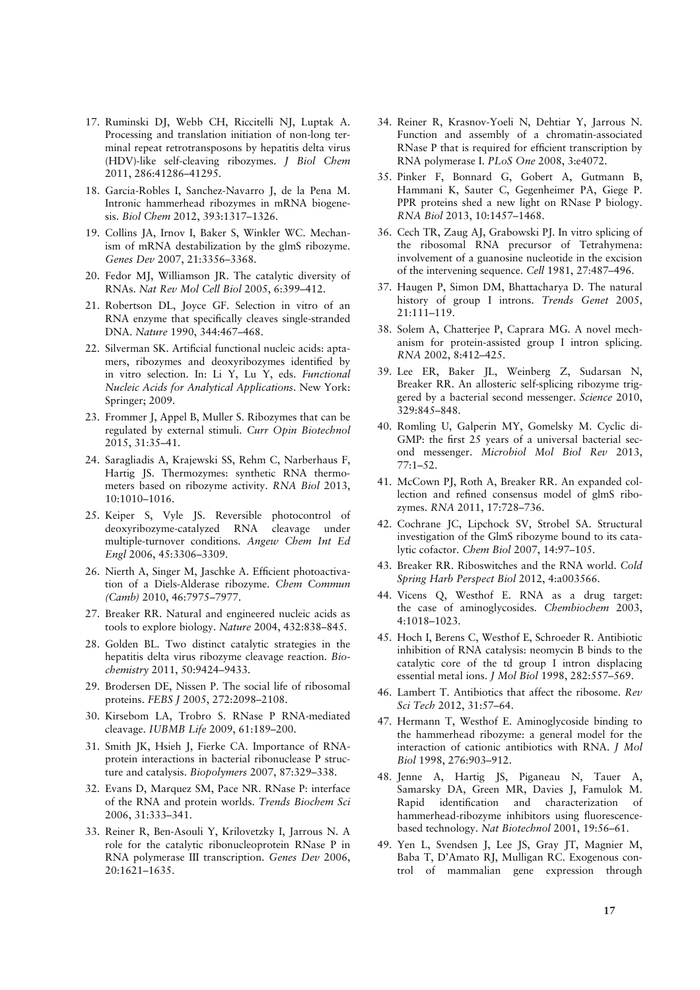- 17. Ruminski DJ, Webb CH, Riccitelli NJ, Luptak A. Processing and translation initiation of non-long terminal repeat retrotransposons by hepatitis delta virus (HDV)-like self-cleaving ribozymes. *J Biol Chem* 2011, 286:41286–41295.
- 18. Garcia-Robles I, Sanchez-Navarro J, de la Pena M. Intronic hammerhead ribozymes in mRNA biogenesis. *Biol Chem* 2012, 393:1317–1326.
- 19. Collins JA, Irnov I, Baker S, Winkler WC. Mechanism of mRNA destabilization by the glmS ribozyme. *Genes Dev* 2007, 21:3356–3368.
- 20. Fedor MJ, Williamson JR. The catalytic diversity of RNAs. *Nat Rev Mol Cell Biol* 2005, 6:399–412.
- 21. Robertson DL, Joyce GF. Selection in vitro of an RNA enzyme that specifically cleaves single-stranded DNA. *Nature* 1990, 344:467–468.
- 22. Silverman SK. Artificial functional nucleic acids: aptamers, ribozymes and deoxyribozymes identified by in vitro selection. In: Li Y, Lu Y, eds. *Functional Nucleic Acids for Analytical Applications*. New York: Springer; 2009.
- 23. Frommer J, Appel B, Muller S. Ribozymes that can be regulated by external stimuli. *Curr Opin Biotechnol* 2015, 31:35–41.
- 24. Saragliadis A, Krajewski SS, Rehm C, Narberhaus F, Hartig JS. Thermozymes: synthetic RNA thermometers based on ribozyme activity. *RNA Biol* 2013, 10:1010–1016.
- 25. Keiper S, Vyle JS. Reversible photocontrol of deoxyribozyme-catalyzed RNA cleavage under multiple-turnover conditions. *Angew Chem Int Ed Engl* 2006, 45:3306–3309.
- 26. Nierth A, Singer M, Jaschke A. Efficient photoactivation of a Diels-Alderase ribozyme. *Chem Commun (Camb)* 2010, 46:7975–7977.
- 27. Breaker RR. Natural and engineered nucleic acids as tools to explore biology. *Nature* 2004, 432:838–845.
- 28. Golden BL. Two distinct catalytic strategies in the hepatitis delta virus ribozyme cleavage reaction. *Biochemistry* 2011, 50:9424–9433.
- 29. Brodersen DE, Nissen P. The social life of ribosomal proteins. *FEBS J* 2005, 272:2098–2108.
- 30. Kirsebom LA, Trobro S. RNase P RNA-mediated cleavage. *IUBMB Life* 2009, 61:189–200.
- 31. Smith JK, Hsieh J, Fierke CA. Importance of RNAprotein interactions in bacterial ribonuclease P structure and catalysis. *Biopolymers* 2007, 87:329–338.
- 32. Evans D, Marquez SM, Pace NR. RNase P: interface of the RNA and protein worlds. *Trends Biochem Sci* 2006, 31:333–341.
- 33. Reiner R, Ben-Asouli Y, Krilovetzky I, Jarrous N. A role for the catalytic ribonucleoprotein RNase P in RNA polymerase III transcription. *Genes Dev* 2006, 20:1621–1635.
- 34. Reiner R, Krasnov-Yoeli N, Dehtiar Y, Jarrous N. Function and assembly of a chromatin-associated RNase P that is required for efficient transcription by RNA polymerase I. *PLoS One* 2008, 3:e4072.
- 35. Pinker F, Bonnard G, Gobert A, Gutmann B, Hammani K, Sauter C, Gegenheimer PA, Giege P. PPR proteins shed a new light on RNase P biology. *RNA Biol* 2013, 10:1457–1468.
- 36. Cech TR, Zaug AJ, Grabowski PJ. In vitro splicing of the ribosomal RNA precursor of Tetrahymena: involvement of a guanosine nucleotide in the excision of the intervening sequence. *Cell* 1981, 27:487–496.
- 37. Haugen P, Simon DM, Bhattacharya D. The natural history of group I introns. *Trends Genet* 2005, 21:111–119.
- 38. Solem A, Chatterjee P, Caprara MG. A novel mechanism for protein-assisted group I intron splicing. *RNA* 2002, 8:412–425.
- 39. Lee ER, Baker JL, Weinberg Z, Sudarsan N, Breaker RR. An allosteric self-splicing ribozyme triggered by a bacterial second messenger. *Science* 2010, 329:845–848.
- 40. Romling U, Galperin MY, Gomelsky M. Cyclic di-GMP: the first 25 years of a universal bacterial second messenger. *Microbiol Mol Biol Rev* 2013, 77:1–52.
- 41. McCown PJ, Roth A, Breaker RR. An expanded collection and refined consensus model of glmS ribozymes. *RNA* 2011, 17:728–736.
- 42. Cochrane JC, Lipchock SV, Strobel SA. Structural investigation of the GlmS ribozyme bound to its catalytic cofactor. *Chem Biol* 2007, 14:97–105.
- 43. Breaker RR. Riboswitches and the RNA world. *Cold Spring Harb Perspect Biol* 2012, 4:a003566.
- 44. Vicens Q, Westhof E. RNA as a drug target: the case of aminoglycosides. *Chembiochem* 2003, 4:1018–1023.
- 45. Hoch I, Berens C, Westhof E, Schroeder R. Antibiotic inhibition of RNA catalysis: neomycin B binds to the catalytic core of the td group I intron displacing essential metal ions. *J Mol Biol* 1998, 282:557–569.
- 46. Lambert T. Antibiotics that affect the ribosome. *Rev Sci Tech* 2012, 31:57–64.
- 47. Hermann T, Westhof E. Aminoglycoside binding to the hammerhead ribozyme: a general model for the interaction of cationic antibiotics with RNA. *J Mol Biol* 1998, 276:903–912.
- 48. Jenne A, Hartig JS, Piganeau N, Tauer A, Samarsky DA, Green MR, Davies J, Famulok M. Rapid identification and characterization of hammerhead-ribozyme inhibitors using fluorescencebased technology. *Nat Biotechnol* 2001, 19:56–61.
- 49. Yen L, Svendsen J, Lee JS, Gray JT, Magnier M, Baba T, D'Amato RJ, Mulligan RC. Exogenous control of mammalian gene expression through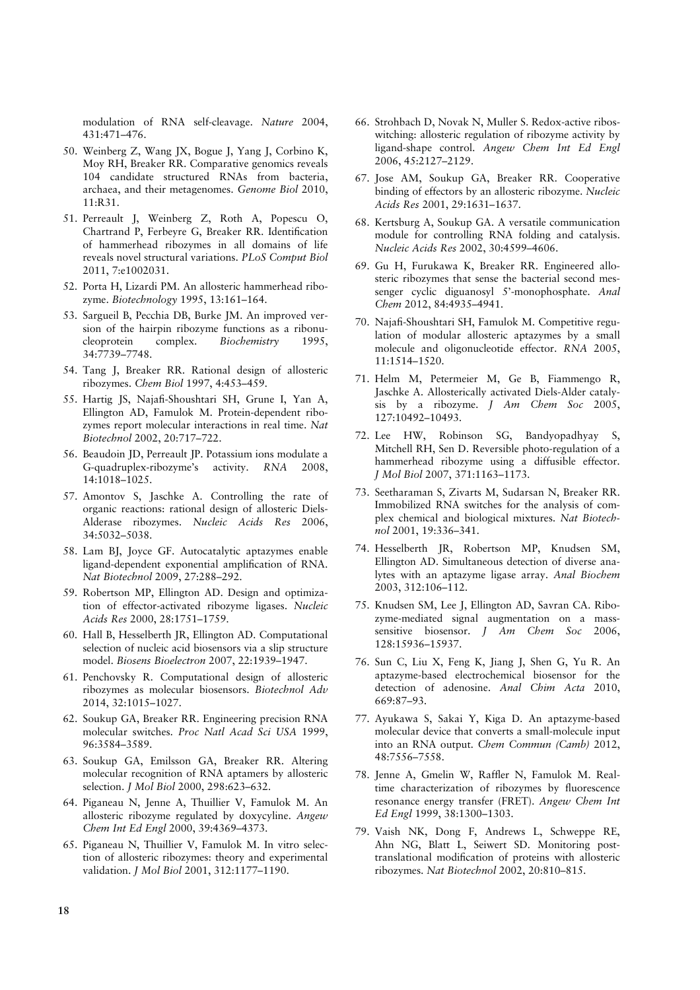modulation of RNA self-cleavage. *Nature* 2004, 431:471–476.

- 50. Weinberg Z, Wang JX, Bogue J, Yang J, Corbino K, Moy RH, Breaker RR. Comparative genomics reveals 104 candidate structured RNAs from bacteria, archaea, and their metagenomes. *Genome Biol* 2010,  $11 \cdot R$  31
- 51. Perreault J, Weinberg Z, Roth A, Popescu O, Chartrand P, Ferbeyre G, Breaker RR. Identification of hammerhead ribozymes in all domains of life reveals novel structural variations. *PLoS Comput Biol* 2011, 7:e1002031.
- 52. Porta H, Lizardi PM. An allosteric hammerhead ribozyme. *Biotechnology* 1995, 13:161–164.
- 53. Sargueil B, Pecchia DB, Burke JM. An improved version of the hairpin ribozyme functions as a ribonucleoprotein complex. *Biochemistry* 1995, 34:7739–7748.
- 54. Tang J, Breaker RR. Rational design of allosteric ribozymes. *Chem Biol* 1997, 4:453–459.
- 55. Hartig JS, Najafi-Shoushtari SH, Grune I, Yan A, Ellington AD, Famulok M. Protein-dependent ribozymes report molecular interactions in real time. *Nat Biotechnol* 2002, 20:717–722.
- 56. Beaudoin JD, Perreault JP. Potassium ions modulate a G-quadruplex-ribozyme's activity. *RNA* 2008, 14:1018–1025.
- 57. Amontov S, Jaschke A. Controlling the rate of organic reactions: rational design of allosteric Diels-Alderase ribozymes. *Nucleic Acids Res* 2006, 34:5032–5038.
- 58. Lam BJ, Joyce GF. Autocatalytic aptazymes enable ligand-dependent exponential amplification of RNA. *Nat Biotechnol* 2009, 27:288–292.
- 59. Robertson MP, Ellington AD. Design and optimization of effector-activated ribozyme ligases. *Nucleic Acids Res* 2000, 28:1751–1759.
- 60. Hall B, Hesselberth JR, Ellington AD. Computational selection of nucleic acid biosensors via a slip structure model. *Biosens Bioelectron* 2007, 22:1939–1947.
- 61. Penchovsky R. Computational design of allosteric ribozymes as molecular biosensors. *Biotechnol Adv* 2014, 32:1015–1027.
- 62. Soukup GA, Breaker RR. Engineering precision RNA molecular switches. *Proc Natl Acad Sci USA* 1999, 96:3584–3589.
- 63. Soukup GA, Emilsson GA, Breaker RR. Altering molecular recognition of RNA aptamers by allosteric selection. *J Mol Biol* 2000, 298:623–632.
- 64. Piganeau N, Jenne A, Thuillier V, Famulok M. An allosteric ribozyme regulated by doxycyline. *Angew Chem Int Ed Engl* 2000, 39:4369–4373.
- 65. Piganeau N, Thuillier V, Famulok M. In vitro selection of allosteric ribozymes: theory and experimental validation. *J Mol Biol* 2001, 312:1177–1190.
- 66. Strohbach D, Novak N, Muller S. Redox-active riboswitching: allosteric regulation of ribozyme activity by ligand-shape control. *Angew Chem Int Ed Engl* 2006, 45:2127–2129.
- 67. Jose AM, Soukup GA, Breaker RR. Cooperative binding of effectors by an allosteric ribozyme. *Nucleic Acids Res* 2001, 29:1631–1637.
- 68. Kertsburg A, Soukup GA. A versatile communication module for controlling RNA folding and catalysis. *Nucleic Acids Res* 2002, 30:4599–4606.
- 69. Gu H, Furukawa K, Breaker RR. Engineered allosteric ribozymes that sense the bacterial second messenger cyclic diguanosyl 5'-monophosphate. *Anal Chem* 2012, 84:4935–4941.
- 70. Najafi-Shoushtari SH, Famulok M. Competitive regulation of modular allosteric aptazymes by a small molecule and oligonucleotide effector. *RNA* 2005, 11:1514–1520.
- 71. Helm M, Petermeier M, Ge B, Fiammengo R, Jaschke A. Allosterically activated Diels-Alder catalysis by a ribozyme. *J Am Chem Soc* 2005, 127:10492–10493.
- 72. Lee HW, Robinson SG, Bandyopadhyay S, Mitchell RH, Sen D. Reversible photo-regulation of a hammerhead ribozyme using a diffusible effector. *J Mol Biol* 2007, 371:1163–1173.
- 73. Seetharaman S, Zivarts M, Sudarsan N, Breaker RR. Immobilized RNA switches for the analysis of complex chemical and biological mixtures. *Nat Biotechnol* 2001, 19:336–341.
- 74. Hesselberth JR, Robertson MP, Knudsen SM, Ellington AD. Simultaneous detection of diverse analytes with an aptazyme ligase array. *Anal Biochem* 2003, 312:106–112.
- 75. Knudsen SM, Lee J, Ellington AD, Savran CA. Ribozyme-mediated signal augmentation on a masssensitive biosensor. *J Am Chem Soc* 2006, 128:15936–15937.
- 76. Sun C, Liu X, Feng K, Jiang J, Shen G, Yu R. An aptazyme-based electrochemical biosensor for the detection of adenosine. *Anal Chim Acta* 2010, 669:87–93.
- 77. Ayukawa S, Sakai Y, Kiga D. An aptazyme-based molecular device that converts a small-molecule input into an RNA output. *Chem Commun (Camb)* 2012, 48:7556–7558.
- 78. Jenne A, Gmelin W, Raffler N, Famulok M. Realtime characterization of ribozymes by fluorescence resonance energy transfer (FRET). *Angew Chem Int Ed Engl* 1999, 38:1300–1303.
- 79. Vaish NK, Dong F, Andrews L, Schweppe RE, Ahn NG, Blatt L, Seiwert SD. Monitoring posttranslational modification of proteins with allosteric ribozymes. *Nat Biotechnol* 2002, 20:810–815.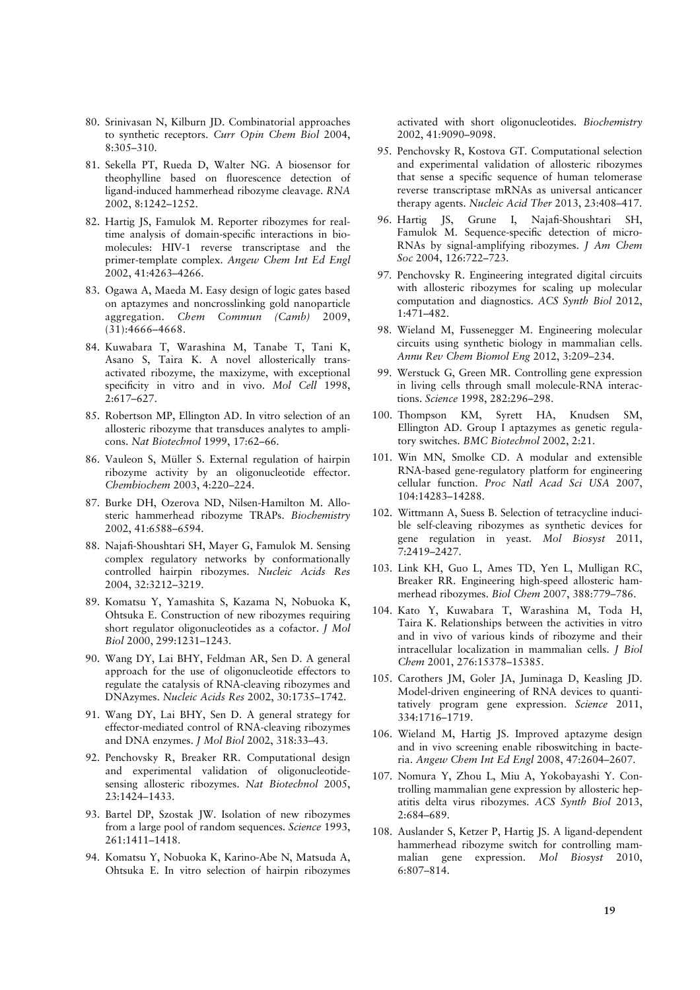- 80. Srinivasan N, Kilburn JD. Combinatorial approaches to synthetic receptors. *Curr Opin Chem Biol* 2004, 8:305–310.
- 81. Sekella PT, Rueda D, Walter NG. A biosensor for theophylline based on fluorescence detection of ligand-induced hammerhead ribozyme cleavage. *RNA* 2002, 8:1242–1252.
- 82. Hartig JS, Famulok M. Reporter ribozymes for realtime analysis of domain-specific interactions in biomolecules: HIV-1 reverse transcriptase and the primer-template complex. *Angew Chem Int Ed Engl* 2002, 41:4263–4266.
- 83. Ogawa A, Maeda M. Easy design of logic gates based on aptazymes and noncrosslinking gold nanoparticle aggregation. *Chem Commun (Camb)* 2009, (31):4666–4668.
- 84. Kuwabara T, Warashina M, Tanabe T, Tani K, Asano S, Taira K. A novel allosterically transactivated ribozyme, the maxizyme, with exceptional specificity in vitro and in vivo. *Mol Cell* 1998, 2:617–627.
- 85. Robertson MP, Ellington AD. In vitro selection of an allosteric ribozyme that transduces analytes to amplicons. *Nat Biotechnol* 1999, 17:62–66.
- 86. Vauleon S, Müller S. External regulation of hairpin ribozyme activity by an oligonucleotide effector. *Chembiochem* 2003, 4:220–224.
- 87. Burke DH, Ozerova ND, Nilsen-Hamilton M. Allosteric hammerhead ribozyme TRAPs. *Biochemistry* 2002, 41:6588–6594.
- 88. Najafi-Shoushtari SH, Mayer G, Famulok M. Sensing complex regulatory networks by conformationally controlled hairpin ribozymes. *Nucleic Acids Res* 2004, 32:3212–3219.
- 89. Komatsu Y, Yamashita S, Kazama N, Nobuoka K, Ohtsuka E. Construction of new ribozymes requiring short regulator oligonucleotides as a cofactor. *J Mol Biol* 2000, 299:1231–1243.
- 90. Wang DY, Lai BHY, Feldman AR, Sen D. A general approach for the use of oligonucleotide effectors to regulate the catalysis of RNA-cleaving ribozymes and DNAzymes. *Nucleic Acids Res* 2002, 30:1735–1742.
- 91. Wang DY, Lai BHY, Sen D. A general strategy for effector-mediated control of RNA-cleaving ribozymes and DNA enzymes. *J Mol Biol* 2002, 318:33–43.
- 92. Penchovsky R, Breaker RR. Computational design and experimental validation of oligonucleotidesensing allosteric ribozymes. *Nat Biotechnol* 2005, 23:1424–1433.
- 93. Bartel DP, Szostak JW. Isolation of new ribozymes from a large pool of random sequences. *Science* 1993, 261:1411–1418.
- 94. Komatsu Y, Nobuoka K, Karino-Abe N, Matsuda A, Ohtsuka E. In vitro selection of hairpin ribozymes

activated with short oligonucleotides. *Biochemistry* 2002, 41:9090–9098.

- 95. Penchovsky R, Kostova GT. Computational selection and experimental validation of allosteric ribozymes that sense a specific sequence of human telomerase reverse transcriptase mRNAs as universal anticancer therapy agents. *Nucleic Acid Ther* 2013, 23:408–417.
- 96. Hartig JS, Grune I, Najafi-Shoushtari SH, Famulok M. Sequence-specific detection of micro-RNAs by signal-amplifying ribozymes. *J Am Chem Soc* 2004, 126:722–723.
- 97. Penchovsky R. Engineering integrated digital circuits with allosteric ribozymes for scaling up molecular computation and diagnostics. *ACS Synth Biol* 2012, 1:471–482.
- 98. Wieland M, Fussenegger M. Engineering molecular circuits using synthetic biology in mammalian cells. *Annu Rev Chem Biomol Eng* 2012, 3:209–234.
- 99. Werstuck G, Green MR. Controlling gene expression in living cells through small molecule-RNA interactions. *Science* 1998, 282:296–298.
- 100. Thompson KM, Syrett HA, Knudsen SM, Ellington AD. Group I aptazymes as genetic regulatory switches. *BMC Biotechnol* 2002, 2:21.
- 101. Win MN, Smolke CD. A modular and extensible RNA-based gene-regulatory platform for engineering cellular function. *Proc Natl Acad Sci USA* 2007, 104:14283–14288.
- 102. Wittmann A, Suess B. Selection of tetracycline inducible self-cleaving ribozymes as synthetic devices for gene regulation in yeast. *Mol Biosyst* 2011, 7:2419–2427.
- 103. Link KH, Guo L, Ames TD, Yen L, Mulligan RC, Breaker RR. Engineering high-speed allosteric hammerhead ribozymes. *Biol Chem* 2007, 388:779–786.
- 104. Kato Y, Kuwabara T, Warashina M, Toda H, Taira K. Relationships between the activities in vitro and in vivo of various kinds of ribozyme and their intracellular localization in mammalian cells. *J Biol Chem* 2001, 276:15378–15385.
- 105. Carothers JM, Goler JA, Juminaga D, Keasling JD. Model-driven engineering of RNA devices to quantitatively program gene expression. *Science* 2011, 334:1716–1719.
- 106. Wieland M, Hartig JS. Improved aptazyme design and in vivo screening enable riboswitching in bacteria. *Angew Chem Int Ed Engl* 2008, 47:2604–2607.
- 107. Nomura Y, Zhou L, Miu A, Yokobayashi Y. Controlling mammalian gene expression by allosteric hepatitis delta virus ribozymes. *ACS Synth Biol* 2013, 2:684–689.
- 108. Auslander S, Ketzer P, Hartig JS. A ligand-dependent hammerhead ribozyme switch for controlling mammalian gene expression. *Mol Biosyst* 2010, 6:807–814.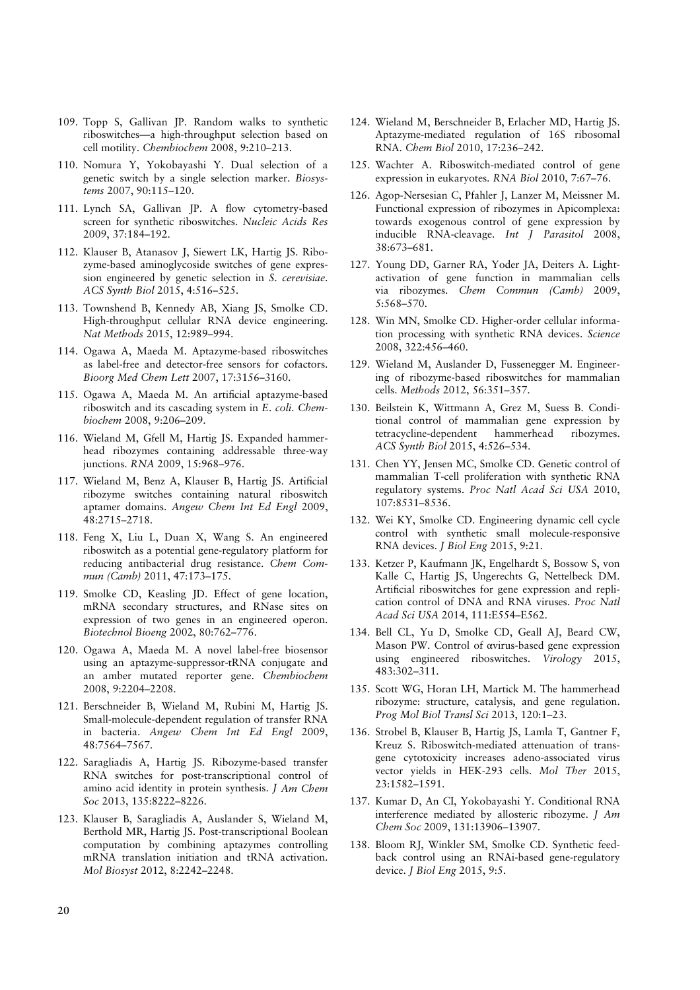- 109. Topp S, Gallivan JP. Random walks to synthetic riboswitches—a high-throughput selection based on cell motility. *Chembiochem* 2008, 9:210–213.
- 110. Nomura Y, Yokobayashi Y. Dual selection of a genetic switch by a single selection marker. *Biosystems* 2007, 90:115–120.
- 111. Lynch SA, Gallivan JP. A flow cytometry-based screen for synthetic riboswitches. *Nucleic Acids Res* 2009, 37:184–192.
- 112. Klauser B, Atanasov J, Siewert LK, Hartig JS. Ribozyme-based aminoglycoside switches of gene expression engineered by genetic selection in *S*. *cerevisiae*. *ACS Synth Biol* 2015, 4:516–525.
- 113. Townshend B, Kennedy AB, Xiang JS, Smolke CD. High-throughput cellular RNA device engineering. *Nat Methods* 2015, 12:989–994.
- 114. Ogawa A, Maeda M. Aptazyme-based riboswitches as label-free and detector-free sensors for cofactors. *Bioorg Med Chem Lett* 2007, 17:3156–3160.
- 115. Ogawa A, Maeda M. An artificial aptazyme-based riboswitch and its cascading system in *E*. *coli*. *Chembiochem* 2008, 9:206–209.
- 116. Wieland M, Gfell M, Hartig JS. Expanded hammerhead ribozymes containing addressable three-way junctions. *RNA* 2009, 15:968–976.
- 117. Wieland M, Benz A, Klauser B, Hartig JS. Artificial ribozyme switches containing natural riboswitch aptamer domains. *Angew Chem Int Ed Engl* 2009, 48:2715–2718.
- 118. Feng X, Liu L, Duan X, Wang S. An engineered riboswitch as a potential gene-regulatory platform for reducing antibacterial drug resistance. *Chem Commun (Camb)* 2011, 47:173–175.
- 119. Smolke CD, Keasling JD. Effect of gene location, mRNA secondary structures, and RNase sites on expression of two genes in an engineered operon. *Biotechnol Bioeng* 2002, 80:762–776.
- 120. Ogawa A, Maeda M. A novel label-free biosensor using an aptazyme-suppressor-tRNA conjugate and an amber mutated reporter gene. *Chembiochem* 2008, 9:2204–2208.
- 121. Berschneider B, Wieland M, Rubini M, Hartig JS. Small-molecule-dependent regulation of transfer RNA in bacteria. *Angew Chem Int Ed Engl* 2009, 48:7564–7567.
- 122. Saragliadis A, Hartig JS. Ribozyme-based transfer RNA switches for post-transcriptional control of amino acid identity in protein synthesis. *J Am Chem Soc* 2013, 135:8222–8226.
- 123. Klauser B, Saragliadis A, Auslander S, Wieland M, Berthold MR, Hartig JS. Post-transcriptional Boolean computation by combining aptazymes controlling mRNA translation initiation and tRNA activation. *Mol Biosyst* 2012, 8:2242–2248.
- 124. Wieland M, Berschneider B, Erlacher MD, Hartig JS. Aptazyme-mediated regulation of 16S ribosomal RNA. *Chem Biol* 2010, 17:236–242.
- 125. Wachter A. Riboswitch-mediated control of gene expression in eukaryotes. *RNA Biol* 2010, 7:67–76.
- 126. Agop-Nersesian C, Pfahler J, Lanzer M, Meissner M. Functional expression of ribozymes in Apicomplexa: towards exogenous control of gene expression by inducible RNA-cleavage. *Int J Parasitol* 2008, 38:673–681.
- 127. Young DD, Garner RA, Yoder JA, Deiters A. Lightactivation of gene function in mammalian cells via ribozymes. *Chem Commun (Camb)* 2009, 5:568–570.
- 128. Win MN, Smolke CD. Higher-order cellular information processing with synthetic RNA devices. *Science* 2008, 322:456–460.
- 129. Wieland M, Auslander D, Fussenegger M. Engineering of ribozyme-based riboswitches for mammalian cells. *Methods* 2012, 56:351–357.
- 130. Beilstein K, Wittmann A, Grez M, Suess B. Conditional control of mammalian gene expression by tetracycline-dependent hammerhead ribozymes. *ACS Synth Biol* 2015, 4:526–534.
- 131. Chen YY, Jensen MC, Smolke CD. Genetic control of mammalian T-cell proliferation with synthetic RNA regulatory systems. *Proc Natl Acad Sci USA* 2010, 107:8531–8536.
- 132. Wei KY, Smolke CD. Engineering dynamic cell cycle control with synthetic small molecule-responsive RNA devices. *J Biol Eng* 2015, 9:21.
- 133. Ketzer P, Kaufmann JK, Engelhardt S, Bossow S, von Kalle C, Hartig JS, Ungerechts G, Nettelbeck DM. Artificial riboswitches for gene expression and replication control of DNA and RNA viruses. *Proc Natl Acad Sci USA* 2014, 111:E554–E562.
- 134. Bell CL, Yu D, Smolke CD, Geall AJ, Beard CW, Mason PW. Control of αvirus-based gene expression using engineered riboswitches. *Virology* 2015, 483:302–311.
- 135. Scott WG, Horan LH, Martick M. The hammerhead ribozyme: structure, catalysis, and gene regulation. *Prog Mol Biol Transl Sci* 2013, 120:1–23.
- 136. Strobel B, Klauser B, Hartig JS, Lamla T, Gantner F, Kreuz S. Riboswitch-mediated attenuation of transgene cytotoxicity increases adeno-associated virus vector yields in HEK-293 cells. *Mol Ther* 2015, 23:1582–1591.
- 137. Kumar D, An CI, Yokobayashi Y. Conditional RNA interference mediated by allosteric ribozyme. *J Am Chem Soc* 2009, 131:13906–13907.
- 138. Bloom RJ, Winkler SM, Smolke CD. Synthetic feedback control using an RNAi-based gene-regulatory device. *J Biol Eng* 2015, 9:5.